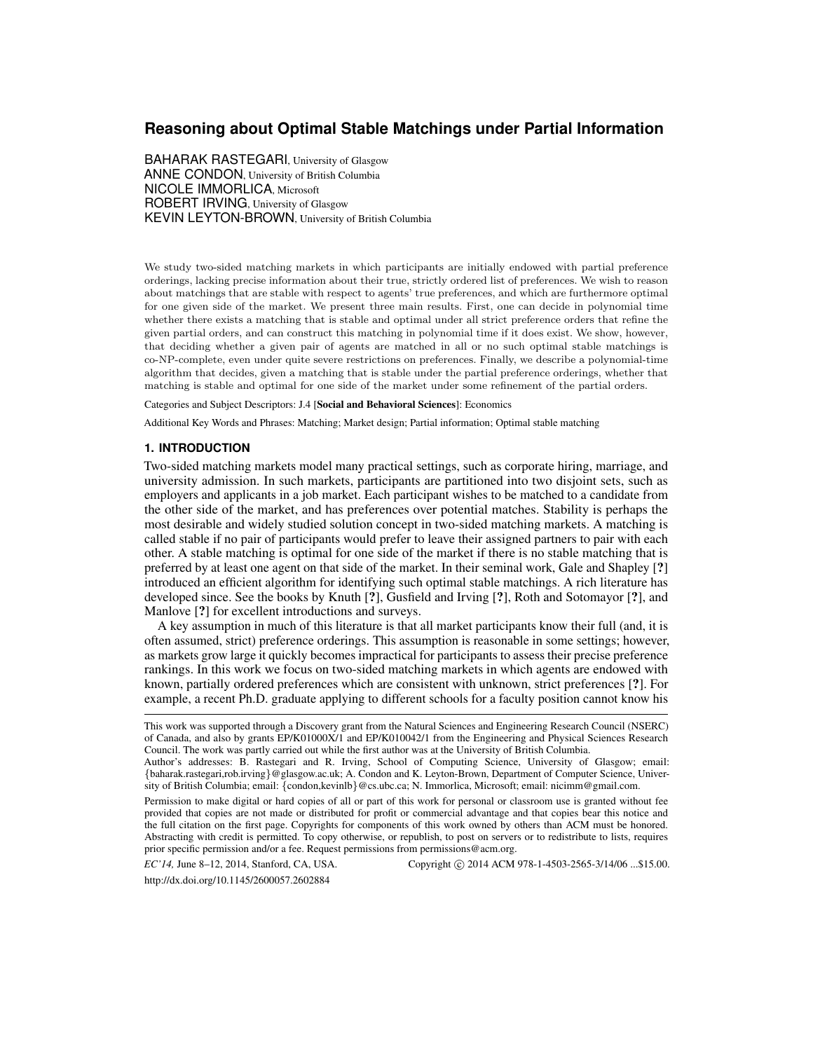# **Reasoning about Optimal Stable Matchings under Partial Information**

BAHARAK RASTEGARI, University of Glasgow ANNE CONDON, University of British Columbia NICOLE IMMORLICA, Microsoft ROBERT IRVING, University of Glasgow KEVIN LEYTON-BROWN, University of British Columbia

We study two-sided matching markets in which participants are initially endowed with partial preference orderings, lacking precise information about their true, strictly ordered list of preferences. We wish to reason about matchings that are stable with respect to agents' true preferences, and which are furthermore optimal for one given side of the market. We present three main results. First, one can decide in polynomial time whether there exists a matching that is stable and optimal under all strict preference orders that refine the given partial orders, and can construct this matching in polynomial time if it does exist. We show, however, that deciding whether a given pair of agents are matched in all or no such optimal stable matchings is co-NP-complete, even under quite severe restrictions on preferences. Finally, we describe a polynomial-time algorithm that decides, given a matching that is stable under the partial preference orderings, whether that matching is stable and optimal for one side of the market under some refinement of the partial orders.

Categories and Subject Descriptors: J.4 [Social and Behavioral Sciences]: Economics

Additional Key Words and Phrases: Matching; Market design; Partial information; Optimal stable matching

### **1. INTRODUCTION**

Two-sided matching markets model many practical settings, such as corporate hiring, marriage, and university admission. In such markets, participants are partitioned into two disjoint sets, such as employers and applicants in a job market. Each participant wishes to be matched to a candidate from the other side of the market, and has preferences over potential matches. Stability is perhaps the most desirable and widely studied solution concept in two-sided matching markets. A matching is called stable if no pair of participants would prefer to leave their assigned partners to pair with each other. A stable matching is optimal for one side of the market if there is no stable matching that is preferred by at least one agent on that side of the market. In their seminal work, Gale and Shapley [?] introduced an efficient algorithm for identifying such optimal stable matchings. A rich literature has developed since. See the books by Knuth [?], Gusfield and Irving [?], Roth and Sotomayor [?], and Manlove [?] for excellent introductions and surveys.

A key assumption in much of this literature is that all market participants know their full (and, it is often assumed, strict) preference orderings. This assumption is reasonable in some settings; however, as markets grow large it quickly becomes impractical for participants to assess their precise preference rankings. In this work we focus on two-sided matching markets in which agents are endowed with known, partially ordered preferences which are consistent with unknown, strict preferences [?]. For example, a recent Ph.D. graduate applying to different schools for a faculty position cannot know his

*EC'14*, June 8–12, 2014, Stanford, CA, USA. Copyright © 2014 ACM 978-1-4503-2565-3/14/06 ...\$15.00.

http://dx.doi.org/10.1145/2600057.2602884

This work was supported through a Discovery grant from the Natural Sciences and Engineering Research Council (NSERC) of Canada, and also by grants EP/K01000X/1 and EP/K010042/1 from the Engineering and Physical Sciences Research Council. The work was partly carried out while the first author was at the University of British Columbia.

Author's addresses: B. Rastegari and R. Irving, School of Computing Science, University of Glasgow; email: {baharak.rastegari,rob.irving}@glasgow.ac.uk; A. Condon and K. Leyton-Brown, Department of Computer Science, University of British Columbia; email: {condon,kevinlb}@cs.ubc.ca; N. Immorlica, Microsoft; email: nicimm@gmail.com.

Permission to make digital or hard copies of all or part of this work for personal or classroom use is granted without fee provided that copies are not made or distributed for profit or commercial advantage and that copies bear this notice and the full citation on the first page. Copyrights for components of this work owned by others than ACM must be honored. Abstracting with credit is permitted. To copy otherwise, or republish, to post on servers or to redistribute to lists, requires prior specific permission and/or a fee. Request permissions from permissions@acm.org.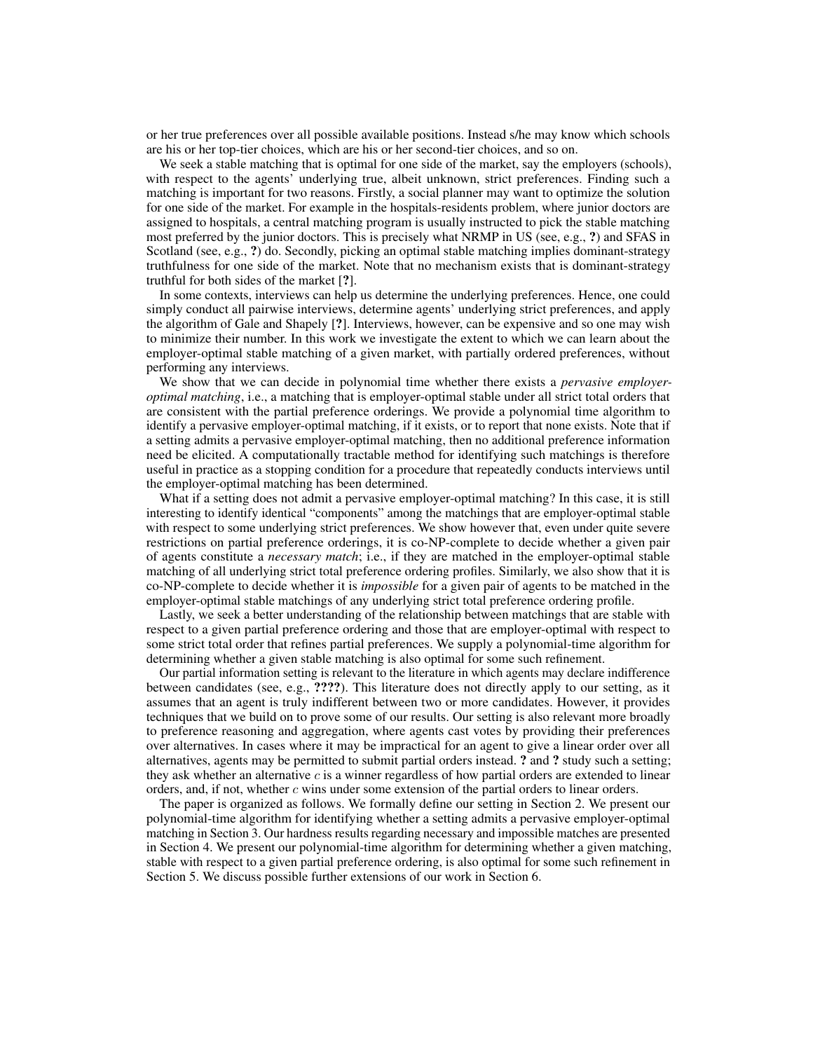or her true preferences over all possible available positions. Instead s/he may know which schools are his or her top-tier choices, which are his or her second-tier choices, and so on.

We seek a stable matching that is optimal for one side of the market, say the employers (schools), with respect to the agents' underlying true, albeit unknown, strict preferences. Finding such a matching is important for two reasons. Firstly, a social planner may want to optimize the solution for one side of the market. For example in the hospitals-residents problem, where junior doctors are assigned to hospitals, a central matching program is usually instructed to pick the stable matching most preferred by the junior doctors. This is precisely what NRMP in US (see, e.g., ?) and SFAS in Scotland (see, e.g., ?) do. Secondly, picking an optimal stable matching implies dominant-strategy truthfulness for one side of the market. Note that no mechanism exists that is dominant-strategy truthful for both sides of the market [?].

In some contexts, interviews can help us determine the underlying preferences. Hence, one could simply conduct all pairwise interviews, determine agents' underlying strict preferences, and apply the algorithm of Gale and Shapely [?]. Interviews, however, can be expensive and so one may wish to minimize their number. In this work we investigate the extent to which we can learn about the employer-optimal stable matching of a given market, with partially ordered preferences, without performing any interviews.

We show that we can decide in polynomial time whether there exists a *pervasive employeroptimal matching*, i.e., a matching that is employer-optimal stable under all strict total orders that are consistent with the partial preference orderings. We provide a polynomial time algorithm to identify a pervasive employer-optimal matching, if it exists, or to report that none exists. Note that if a setting admits a pervasive employer-optimal matching, then no additional preference information need be elicited. A computationally tractable method for identifying such matchings is therefore useful in practice as a stopping condition for a procedure that repeatedly conducts interviews until the employer-optimal matching has been determined.

What if a setting does not admit a pervasive employer-optimal matching? In this case, it is still interesting to identify identical "components" among the matchings that are employer-optimal stable with respect to some underlying strict preferences. We show however that, even under quite severe restrictions on partial preference orderings, it is co-NP-complete to decide whether a given pair of agents constitute a *necessary match*; i.e., if they are matched in the employer-optimal stable matching of all underlying strict total preference ordering profiles. Similarly, we also show that it is co-NP-complete to decide whether it is *impossible* for a given pair of agents to be matched in the employer-optimal stable matchings of any underlying strict total preference ordering profile.

Lastly, we seek a better understanding of the relationship between matchings that are stable with respect to a given partial preference ordering and those that are employer-optimal with respect to some strict total order that refines partial preferences. We supply a polynomial-time algorithm for determining whether a given stable matching is also optimal for some such refinement.

Our partial information setting is relevant to the literature in which agents may declare indifference between candidates (see, e.g., ????). This literature does not directly apply to our setting, as it assumes that an agent is truly indifferent between two or more candidates. However, it provides techniques that we build on to prove some of our results. Our setting is also relevant more broadly to preference reasoning and aggregation, where agents cast votes by providing their preferences over alternatives. In cases where it may be impractical for an agent to give a linear order over all alternatives, agents may be permitted to submit partial orders instead. ? and ? study such a setting; they ask whether an alternative  $c$  is a winner regardless of how partial orders are extended to linear orders, and, if not, whether  $c$  wins under some extension of the partial orders to linear orders.

The paper is organized as follows. We formally define our setting in Section 2. We present our polynomial-time algorithm for identifying whether a setting admits a pervasive employer-optimal matching in Section 3. Our hardness results regarding necessary and impossible matches are presented in Section 4. We present our polynomial-time algorithm for determining whether a given matching, stable with respect to a given partial preference ordering, is also optimal for some such refinement in Section 5. We discuss possible further extensions of our work in Section 6.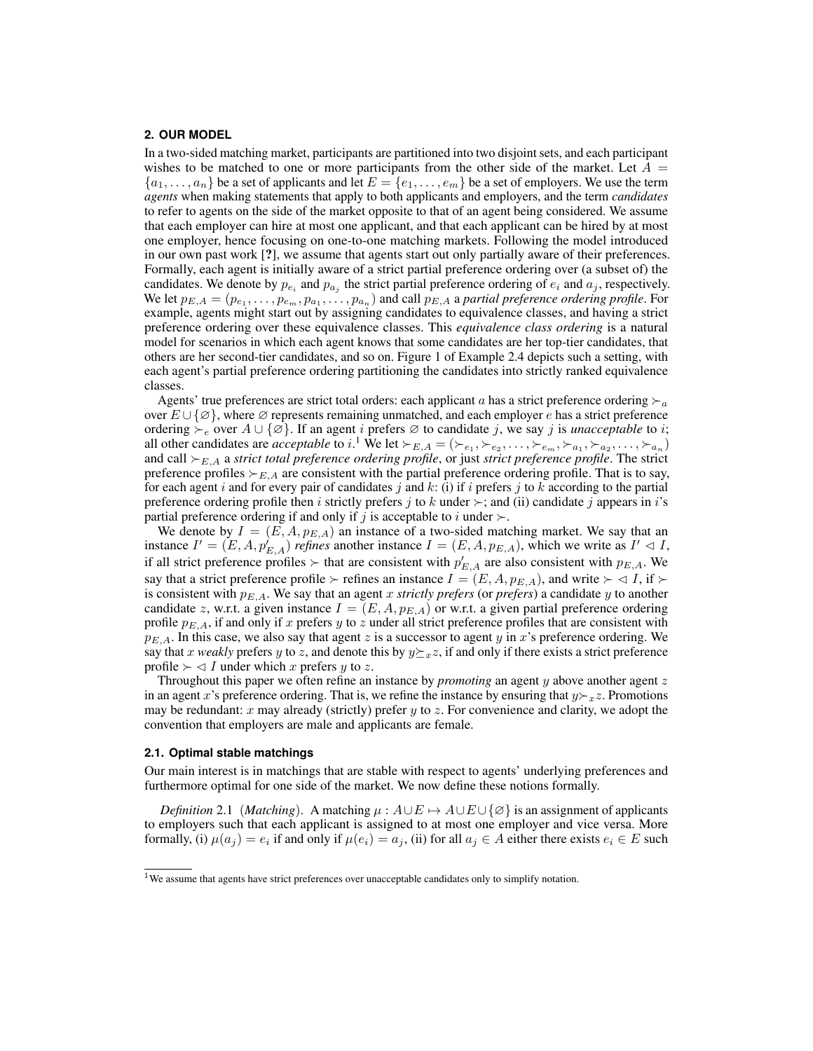## **2. OUR MODEL**

In a two-sided matching market, participants are partitioned into two disjoint sets, and each participant wishes to be matched to one or more participants from the other side of the market. Let  $A =$  ${a_1, \ldots, a_n}$  be a set of applicants and let  $E = {e_1, \ldots, e_m}$  be a set of employers. We use the term *agents* when making statements that apply to both applicants and employers, and the term *candidates* to refer to agents on the side of the market opposite to that of an agent being considered. We assume that each employer can hire at most one applicant, and that each applicant can be hired by at most one employer, hence focusing on one-to-one matching markets. Following the model introduced in our own past work [?], we assume that agents start out only partially aware of their preferences. Formally, each agent is initially aware of a strict partial preference ordering over (a subset of) the candidates. We denote by  $p_{e_i}$  and  $p_{a_j}$  the strict partial preference ordering of  $e_i$  and  $a_j$ , respectively. We let  $p_{E,A} = (p_{e_1}, \ldots, p_{e_m}, p_{a_1}, \ldots, p_{a_n})$  and call  $p_{E,A}$  a *partial preference ordering profile*. For example, agents might start out by assigning candidates to equivalence classes, and having a strict preference ordering over these equivalence classes. This *equivalence class ordering* is a natural model for scenarios in which each agent knows that some candidates are her top-tier candidates, that others are her second-tier candidates, and so on. Figure 1 of Example 2.4 depicts such a setting, with each agent's partial preference ordering partitioning the candidates into strictly ranked equivalence classes.

Agents' true preferences are strict total orders: each applicant a has a strict preference ordering  $\succ_a$ over  $E \cup \{ \emptyset \}$ , where  $\emptyset$  represents remaining unmatched, and each employer e has a strict preference ordering  $\succ_e$  over  $A \cup \{\emptyset\}$ . If an agent i prefers  $\emptyset$  to candidate j, we say j is *unacceptable* to i; all other candidates are *acceptable* to *i*.<sup>1</sup> We let  $\succ_{E,A} = (\succ_{e_1}, \succ_{e_2}, \ldots, \succ_{e_m}, \succ_{a_1}, \succ_{a_2}, \ldots, \succ_{a_n})$ and call  $\succ_{E,A}$  a *strict total preference ordering profile*, or just *strict preference profile*. The strict preference profiles  $\succ_{E,A}$  are consistent with the partial preference ordering profile. That is to say, for each agent i and for every pair of candidates j and  $k$ : (i) if i prefers j to k according to the partial preference ordering profile then i strictly prefers j to k under  $\succ$ ; and (ii) candidate j appears in i's partial preference ordering if and only if j is acceptable to i under  $\succ$ .

We denote by  $I = (E, A, p_{E,A})$  an instance of a two-sided matching market. We say that an instance  $I' = (E, A, p'_{E,A})$  *refines* another instance  $I = (E, A, p_{E,A})$ , which we write as  $I' \lhd I$ , if all strict preference profiles  $\succ$  that are consistent with  $p'_{E,A}$  are also consistent with  $p_{E,A}$ . We say that a strict preference profile  $\succ$  refines an instance  $I = (E, A, p_{E,A})$ , and write  $\succ \lhd I$ , if  $\succ$ is consistent with  $p_{E,A}$ . We say that an agent x *strictly prefers* (or *prefers*) a candidate y to another candidate z, w.r.t. a given instance  $I = (E, A, p_{E,A})$  or w.r.t. a given partial preference ordering profile  $p_{E,A}$ , if and only if x prefers y to z under all strict preference profiles that are consistent with  $p_{E,A}$ . In this case, we also say that agent z is a successor to agent y in x's preference ordering. We say that x *weakly* prefers y to z, and denote this by  $y \succeq_x z$ , if and only if there exists a strict preference profile  $\succ \lhd I$  under which x prefers y to z.

Throughout this paper we often refine an instance by *promoting* an agent y above another agent z in an agent x's preference ordering. That is, we refine the instance by ensuring that  $y \succ_{x} z$ . Promotions may be redundant: x may already (strictly) prefer y to z. For convenience and clarity, we adopt the convention that employers are male and applicants are female.

#### **2.1. Optimal stable matchings**

Our main interest is in matchings that are stable with respect to agents' underlying preferences and furthermore optimal for one side of the market. We now define these notions formally.

*Definition* 2.1 (*Matching*). A matching  $\mu$ :  $A \cup E \mapsto A \cup E \cup \{\emptyset\}$  is an assignment of applicants to employers such that each applicant is assigned to at most one employer and vice versa. More formally, (i)  $\mu(a_j) = e_i$  if and only if  $\mu(e_i) = a_j$ , (ii) for all  $a_j \in A$  either there exists  $e_i \in E$  such

<sup>&</sup>lt;sup>1</sup>We assume that agents have strict preferences over unacceptable candidates only to simplify notation.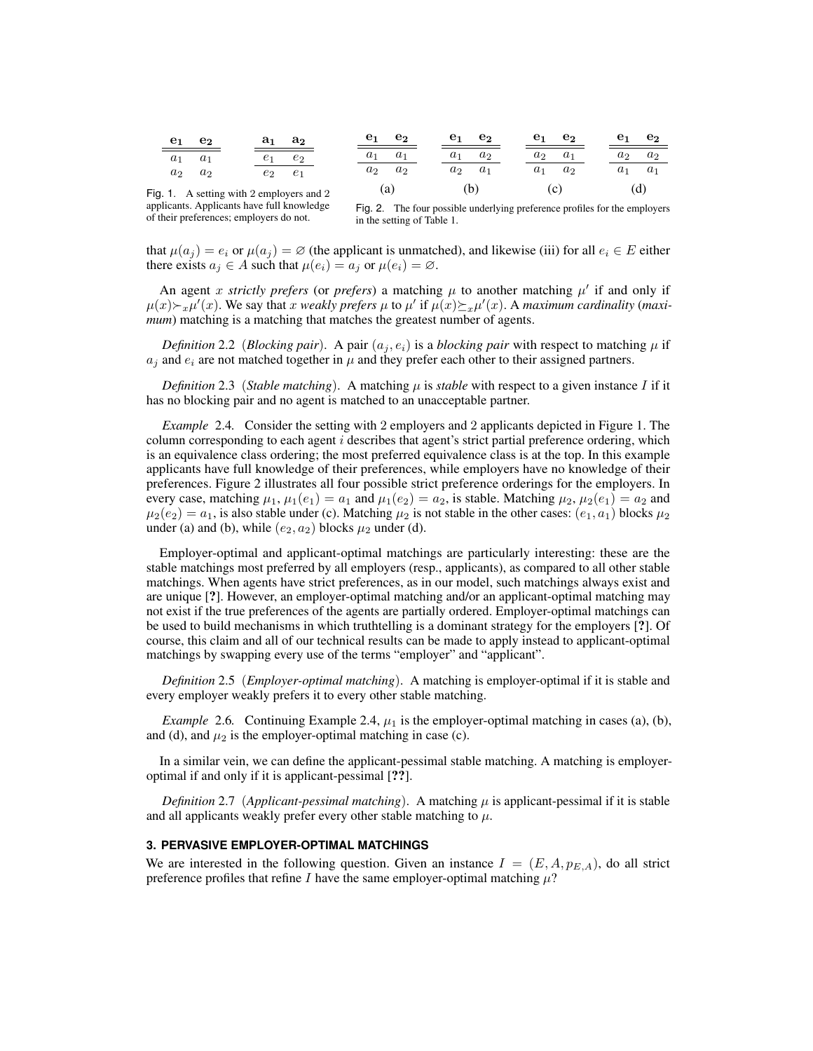| $\mathbf{e_{1}}$ | $e_2$                              | $a_1$ | $a_2$          | e <sub>1</sub> | e <sub>2</sub> | $e_1$ | $\mathbf{e_{2}}$ | $e_1$ | e <sub>2</sub> | e <sub>1</sub> | e <sub>2</sub> |
|------------------|------------------------------------|-------|----------------|----------------|----------------|-------|------------------|-------|----------------|----------------|----------------|
| $a_1$            | $a_1$                              |       | $e_2$          | $a_1$          | $a_1$          | $a_1$ | a <sub>2</sub>   | $a_2$ | $a_1$          | $a_2$          | a <sub>2</sub> |
| $a_2$            | $a_2$                              | $e_2$ | e <sub>1</sub> | $a_2$          | $a_2$          | $a_2$ | a <sub>1</sub>   | $a_1$ | $a_2$          | $a_1$          | $a_1$          |
|                  | 1 A setting with 2 employers and 2 |       |                |                | (a)            |       | (b)              |       | (c)            |                | (d)            |

Fig. 1. A setting with 2 employers and 2 applicants. Applicants have full knowledge of their preferences; employers do not.

Fig. 2. The four possible underlying preference profiles for the employers in the setting of Table 1.

that  $\mu(a_i) = e_i$  or  $\mu(a_i) = \emptyset$  (the applicant is unmatched), and likewise (iii) for all  $e_i \in E$  either there exists  $a_i \in A$  such that  $\mu(e_i) = a_i$  or  $\mu(e_i) = \emptyset$ .

An agent x strictly prefers (or prefers) a matching  $\mu$  to another matching  $\mu'$  if and only if  $\mu(x) \succ_x \mu'(x)$ . We say that x *weakly prefers*  $\mu$  to  $\mu'$  if  $\mu(x) \succeq_x \mu'(x)$ . A *maximum cardinality* (*maximum*) matching is a matching that matches the greatest number of agents.

*Definition* 2.2 (*Blocking pair*). A pair  $(a_i, e_i)$  is a *blocking pair* with respect to matching  $\mu$  if  $a_i$  and  $e_i$  are not matched together in  $\mu$  and they prefer each other to their assigned partners.

*Definition* 2.3 (*Stable matching*). A matching  $\mu$  is *stable* with respect to a given instance I if it has no blocking pair and no agent is matched to an unacceptable partner.

*Example* 2.4*.* Consider the setting with 2 employers and 2 applicants depicted in Figure 1. The column corresponding to each agent  $i$  describes that agent's strict partial preference ordering, which is an equivalence class ordering; the most preferred equivalence class is at the top. In this example applicants have full knowledge of their preferences, while employers have no knowledge of their preferences. Figure 2 illustrates all four possible strict preference orderings for the employers. In every case, matching  $\mu_1$ ,  $\mu_1(e_1) = a_1$  and  $\mu_1(e_2) = a_2$ , is stable. Matching  $\mu_2$ ,  $\mu_2(e_1) = a_2$  and  $\mu_2(e_2) = a_1$ , is also stable under (c). Matching  $\mu_2$  is not stable in the other cases:  $(e_1, a_1)$  blocks  $\mu_2$ under (a) and (b), while  $(e_2, a_2)$  blocks  $\mu_2$  under (d).

Employer-optimal and applicant-optimal matchings are particularly interesting: these are the stable matchings most preferred by all employers (resp., applicants), as compared to all other stable matchings. When agents have strict preferences, as in our model, such matchings always exist and are unique [?]. However, an employer-optimal matching and/or an applicant-optimal matching may not exist if the true preferences of the agents are partially ordered. Employer-optimal matchings can be used to build mechanisms in which truthtelling is a dominant strategy for the employers [?]. Of course, this claim and all of our technical results can be made to apply instead to applicant-optimal matchings by swapping every use of the terms "employer" and "applicant".

*Definition* 2.5 (*Employer-optimal matching*). A matching is employer-optimal if it is stable and every employer weakly prefers it to every other stable matching.

*Example* 2.6. Continuing Example 2.4,  $\mu_1$  is the employer-optimal matching in cases (a), (b), and (d), and  $\mu_2$  is the employer-optimal matching in case (c).

In a similar vein, we can define the applicant-pessimal stable matching. A matching is employeroptimal if and only if it is applicant-pessimal [??].

*Definition* 2.7 (*Applicant-pessimal matching*). A matching  $\mu$  is applicant-pessimal if it is stable and all applicants weakly prefer every other stable matching to  $\mu$ .

### **3. PERVASIVE EMPLOYER-OPTIMAL MATCHINGS**

We are interested in the following question. Given an instance  $I = (E, A, p_{E,A})$ , do all strict preference profiles that refine I have the same employer-optimal matching  $\mu$ ?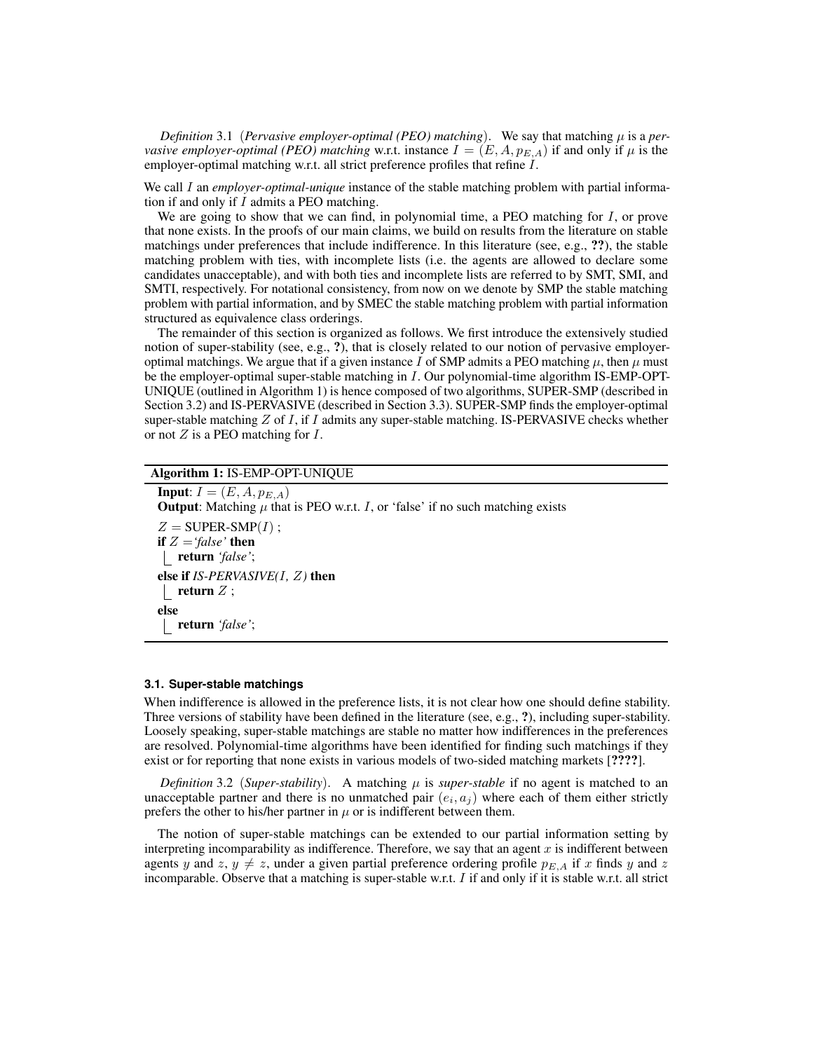*Definition* 3.1 (*Pervasive employer-optimal* (*PEO*) matching). We say that matching  $\mu$  is a *pervasive employer-optimal (PEO) matching* w.r.t. instance  $I = (E, A, p_{E,A})$  if and only if  $\mu$  is the employer-optimal matching w.r.t. all strict preference profiles that refine I.

We call I an *employer-optimal-unique* instance of the stable matching problem with partial information if and only if  $I$  admits a PEO matching.

We are going to show that we can find, in polynomial time, a PEO matching for  $I$ , or prove that none exists. In the proofs of our main claims, we build on results from the literature on stable matchings under preferences that include indifference. In this literature (see, e.g., ??), the stable matching problem with ties, with incomplete lists (i.e. the agents are allowed to declare some candidates unacceptable), and with both ties and incomplete lists are referred to by SMT, SMI, and SMTI, respectively. For notational consistency, from now on we denote by SMP the stable matching problem with partial information, and by SMEC the stable matching problem with partial information structured as equivalence class orderings.

The remainder of this section is organized as follows. We first introduce the extensively studied notion of super-stability (see, e.g., ?), that is closely related to our notion of pervasive employeroptimal matchings. We argue that if a given instance I of SMP admits a PEO matching  $\mu$ , then  $\mu$  must be the employer-optimal super-stable matching in I. Our polynomial-time algorithm IS-EMP-OPT-UNIQUE (outlined in Algorithm 1) is hence composed of two algorithms, SUPER-SMP (described in Section 3.2) and IS-PERVASIVE (described in Section 3.3). SUPER-SMP finds the employer-optimal super-stable matching  $Z$  of  $I$ , if  $I$  admits any super-stable matching. IS-PERVASIVE checks whether or not Z is a PEO matching for I.

# Algorithm 1: IS-EMP-OPT-UNIQUE

**Input:**  $I = (E, A, p_{E,A})$ **Output:** Matching  $\mu$  that is PEO w.r.t. I, or 'false' if no such matching exists  $Z = \text{SUPER-SMP}(I)$ ; if Z =*'false'* then return *'false'*; else if *IS-PERVASIVE(*I*,* Z*)* then return  $Z$  ; else return *'false'*;

### **3.1. Super-stable matchings**

When indifference is allowed in the preference lists, it is not clear how one should define stability. Three versions of stability have been defined in the literature (see, e.g., ?), including super-stability. Loosely speaking, super-stable matchings are stable no matter how indifferences in the preferences are resolved. Polynomial-time algorithms have been identified for finding such matchings if they exist or for reporting that none exists in various models of two-sided matching markets [????].

*Definition* 3.2 (*Super-stability*). A matching  $\mu$  is *super-stable* if no agent is matched to an unacceptable partner and there is no unmatched pair  $(e_i, a_j)$  where each of them either strictly prefers the other to his/her partner in  $\mu$  or is indifferent between them.

The notion of super-stable matchings can be extended to our partial information setting by interpreting incomparability as indifference. Therefore, we say that an agent  $x$  is indifferent between agents y and z,  $y \neq z$ , under a given partial preference ordering profile  $p_{E,A}$  if x finds y and z incomparable. Observe that a matching is super-stable w.r.t.  $I$  if and only if it is stable w.r.t. all strict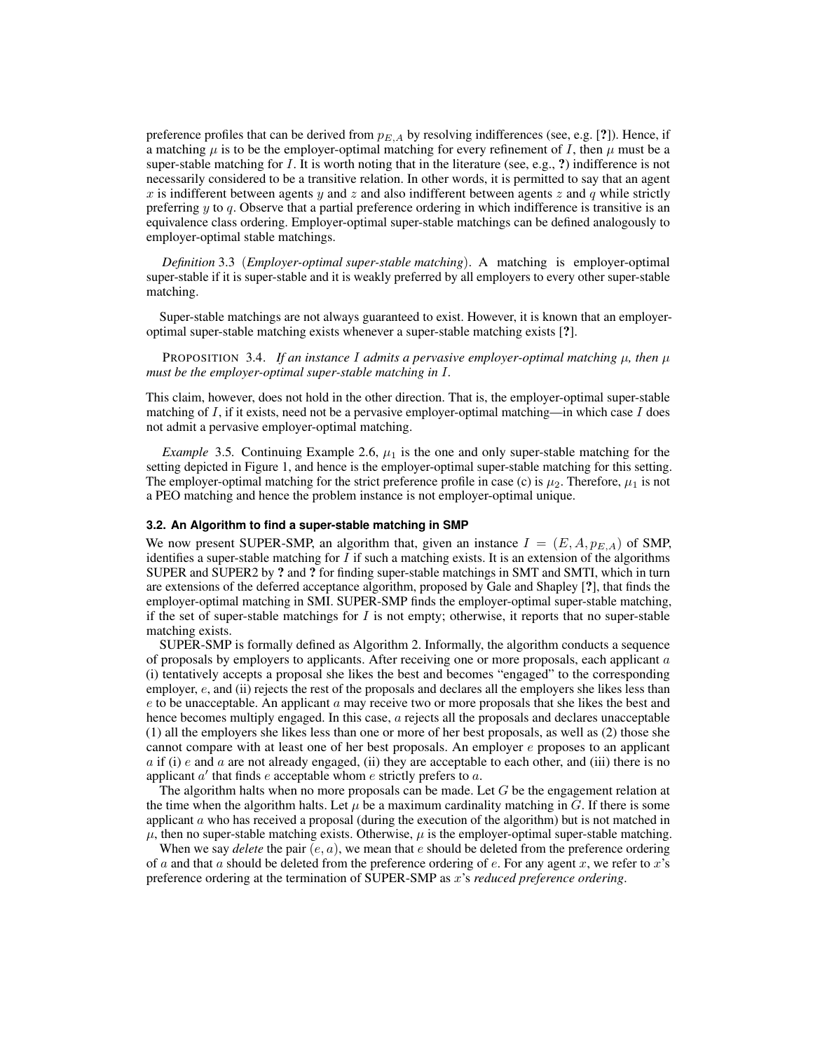preference profiles that can be derived from  $p_{E,A}$  by resolving indifferences (see, e.g. [?]). Hence, if a matching  $\mu$  is to be the employer-optimal matching for every refinement of I, then  $\mu$  must be a super-stable matching for  $I$ . It is worth noting that in the literature (see, e.g., ?) indifference is not necessarily considered to be a transitive relation. In other words, it is permitted to say that an agent x is indifferent between agents y and z and also indifferent between agents z and q while strictly preferring  $y$  to  $q$ . Observe that a partial preference ordering in which indifference is transitive is an equivalence class ordering. Employer-optimal super-stable matchings can be defined analogously to employer-optimal stable matchings.

*Definition* 3.3 (*Employer-optimal super-stable matching*). A matching is employer-optimal super-stable if it is super-stable and it is weakly preferred by all employers to every other super-stable matching.

Super-stable matchings are not always guaranteed to exist. However, it is known that an employeroptimal super-stable matching exists whenever a super-stable matching exists [?].

PROPOSITION 3.4. *If an instance I admits a pervasive employer-optimal matching*  $\mu$ *, then*  $\mu$ *must be the employer-optimal super-stable matching in* I*.*

This claim, however, does not hold in the other direction. That is, the employer-optimal super-stable matching of  $I$ , if it exists, need not be a pervasive employer-optimal matching—in which case  $I$  does not admit a pervasive employer-optimal matching.

*Example* 3.5. Continuing Example 2.6,  $\mu_1$  is the one and only super-stable matching for the setting depicted in Figure 1, and hence is the employer-optimal super-stable matching for this setting. The employer-optimal matching for the strict preference profile in case (c) is  $\mu_2$ . Therefore,  $\mu_1$  is not a PEO matching and hence the problem instance is not employer-optimal unique.

# **3.2. An Algorithm to find a super-stable matching in SMP**

We now present SUPER-SMP, an algorithm that, given an instance  $I = (E, A, p_{E,A})$  of SMP, identifies a super-stable matching for  $I$  if such a matching exists. It is an extension of the algorithms SUPER and SUPER2 by ? and ? for finding super-stable matchings in SMT and SMTI, which in turn are extensions of the deferred acceptance algorithm, proposed by Gale and Shapley [?], that finds the employer-optimal matching in SMI. SUPER-SMP finds the employer-optimal super-stable matching, if the set of super-stable matchings for  $I$  is not empty; otherwise, it reports that no super-stable matching exists.

SUPER-SMP is formally defined as Algorithm 2. Informally, the algorithm conducts a sequence of proposals by employers to applicants. After receiving one or more proposals, each applicant  $a$ (i) tentatively accepts a proposal she likes the best and becomes "engaged" to the corresponding employer, e, and (ii) rejects the rest of the proposals and declares all the employers she likes less than  $e$  to be unacceptable. An applicant  $\alpha$  may receive two or more proposals that she likes the best and hence becomes multiply engaged. In this case, a rejects all the proposals and declares unacceptable (1) all the employers she likes less than one or more of her best proposals, as well as (2) those she cannot compare with at least one of her best proposals. An employer  $e$  proposes to an applicant a if (i) e and a are not already engaged, (ii) they are acceptable to each other, and (iii) there is no applicant  $a'$  that finds  $e$  acceptable whom  $e$  strictly prefers to  $a$ .

The algorithm halts when no more proposals can be made. Let  $G$  be the engagement relation at the time when the algorithm halts. Let  $\mu$  be a maximum cardinality matching in G. If there is some applicant  $\alpha$  who has received a proposal (during the execution of the algorithm) but is not matched in  $\mu$ , then no super-stable matching exists. Otherwise,  $\mu$  is the employer-optimal super-stable matching.

When we say *delete* the pair  $(e, a)$ , we mean that  $e$  should be deleted from the preference ordering of a and that a should be deleted from the preference ordering of e. For any agent x, we refer to x's preference ordering at the termination of SUPER-SMP as x's *reduced preference ordering*.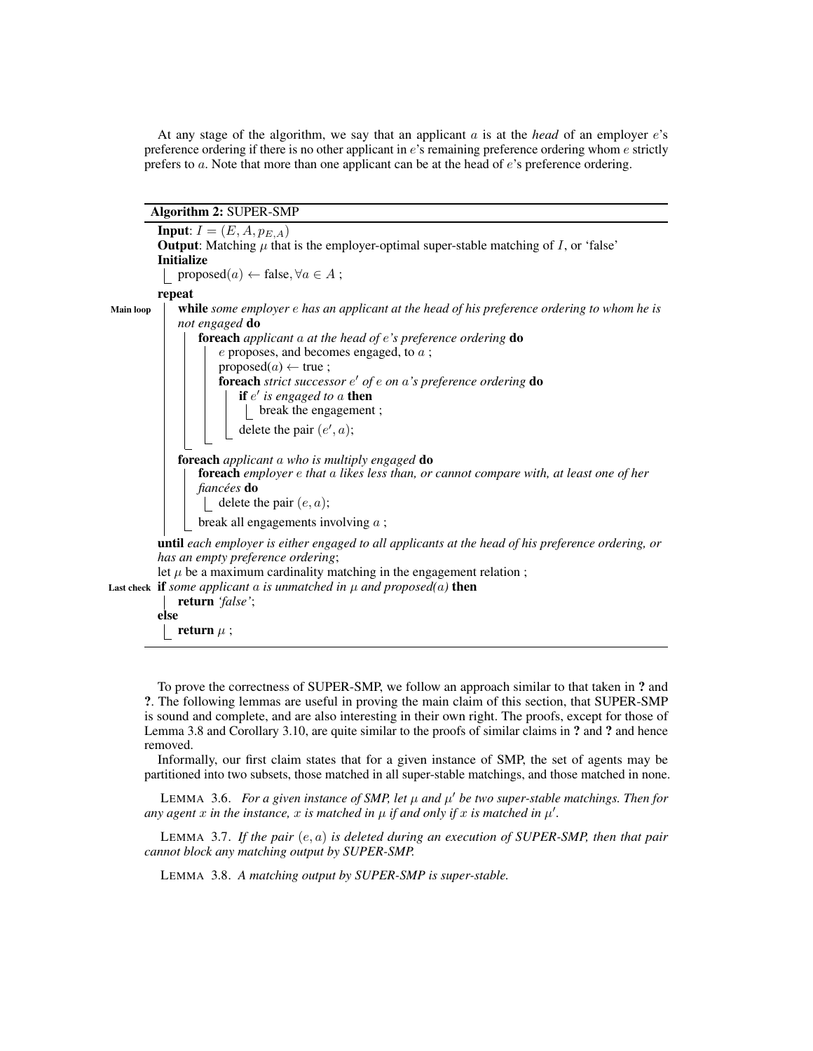At any stage of the algorithm, we say that an applicant a is at the *head* of an employer e's preference ordering if there is no other applicant in e's remaining preference ordering whom e strictly prefers to a. Note that more than one applicant can be at the head of e's preference ordering.

Algorithm 2: SUPER-SMP

|                  | <b>Input:</b> $I = (E, A, p_{E,A})$<br><b>Output:</b> Matching $\mu$ that is the employer-optimal super-stable matching of I, or 'false'<br><b>Initialize</b><br>proposed $(a) \leftarrow$ false, $\forall a \in A$ ;                                                                                                                                                                                                                                                               |
|------------------|-------------------------------------------------------------------------------------------------------------------------------------------------------------------------------------------------------------------------------------------------------------------------------------------------------------------------------------------------------------------------------------------------------------------------------------------------------------------------------------|
|                  | repeat                                                                                                                                                                                                                                                                                                                                                                                                                                                                              |
| <b>Main loop</b> | while some employer e has an applicant at the head of his preference ordering to whom he is<br>not engaged <b>do</b><br><b>foreach</b> applicant $a$ at the head of $e$ 's preference ordering $\bf{do}$<br>$e$ proposes, and becomes engaged, to $a$ ;<br>proposed $(a) \leftarrow$ true;<br><b>foreach</b> strict successor $e'$ of $e$ on $a'$ s preference ordering <b>do</b><br>if $e'$ is engaged to a then<br>$\lfloor$ break the engagement;<br>delete the pair $(e', a)$ ; |
|                  | <b>foreach</b> applicant a who is multiply engaged <b>do</b><br>foreach employer e that a likes less than, or cannot compare with, at least one of her<br><i>fiancées</i> do<br>delete the pair $(e, a)$ ;<br>break all engagements involving $a$ ;                                                                                                                                                                                                                                 |
|                  | <b>until</b> each employer is either engaged to all applicants at the head of his preference ordering, or<br>has an empty preference ordering;<br>let $\mu$ be a maximum cardinality matching in the engagement relation;                                                                                                                                                                                                                                                           |
|                  | Last check if some applicant a is unmatched in $\mu$ and proposed(a) then<br>return 'false';                                                                                                                                                                                                                                                                                                                                                                                        |

else

return  $\mu$  ;

To prove the correctness of SUPER-SMP, we follow an approach similar to that taken in ? and ?. The following lemmas are useful in proving the main claim of this section, that SUPER-SMP is sound and complete, and are also interesting in their own right. The proofs, except for those of Lemma 3.8 and Corollary 3.10, are quite similar to the proofs of similar claims in ? and ? and hence removed.

Informally, our first claim states that for a given instance of SMP, the set of agents may be partitioned into two subsets, those matched in all super-stable matchings, and those matched in none.

LEMMA 3.6. *For a given instance of SMP, let*  $\mu$  and  $\mu'$  be two super-stable matchings. Then for any agent x in the instance, x is matched in  $\mu$  if and only if x is matched in  $\mu'$ .

LEMMA 3.7. *If the pair* (e, a) *is deleted during an execution of SUPER-SMP, then that pair cannot block any matching output by SUPER-SMP.*

LEMMA 3.8. *A matching output by SUPER-SMP is super-stable.*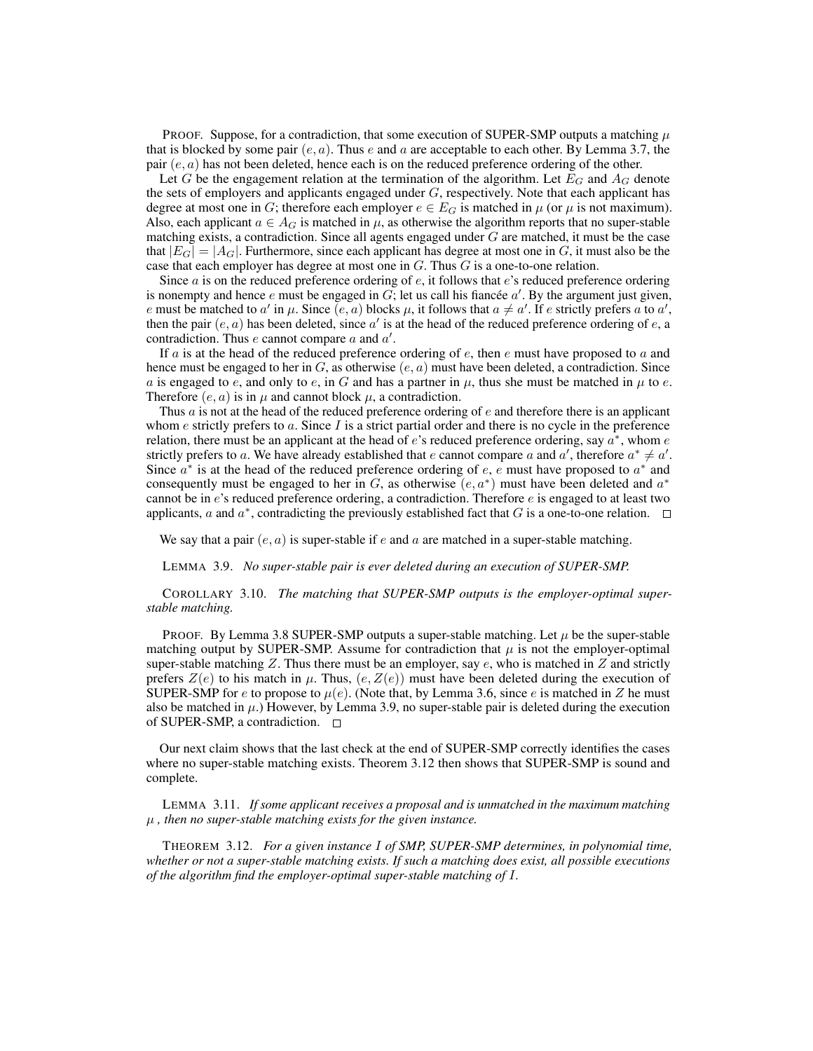PROOF. Suppose, for a contradiction, that some execution of SUPER-SMP outputs a matching  $\mu$ that is blocked by some pair  $(e, a)$ . Thus e and a are acceptable to each other. By Lemma 3.7, the pair  $(e, a)$  has not been deleted, hence each is on the reduced preference ordering of the other.

Let G be the engagement relation at the termination of the algorithm. Let  $E_G$  and  $A_G$  denote the sets of employers and applicants engaged under  $G$ , respectively. Note that each applicant has degree at most one in G; therefore each employer  $e \in E_G$  is matched in  $\mu$  (or  $\mu$  is not maximum). Also, each applicant  $a \in A_G$  is matched in  $\mu$ , as otherwise the algorithm reports that no super-stable matching exists, a contradiction. Since all agents engaged under  $G$  are matched, it must be the case that  $|E_G| = |A_G|$ . Furthermore, since each applicant has degree at most one in G, it must also be the case that each employer has degree at most one in  $G$ . Thus  $G$  is a one-to-one relation.

Since  $a$  is on the reduced preference ordering of  $e$ , it follows that  $e$ 's reduced preference ordering is nonempty and hence e must be engaged in  $G$ , let us call his fiancée  $a'$ . By the argument just given, e must be matched to a' in  $\mu$ . Since  $(e, a)$  blocks  $\mu$ , it follows that  $a \neq a'$ . If e strictly prefers a to a', then the pair  $(e, a)$  has been deleted, since  $a'$  is at the head of the reduced preference ordering of  $e$ , a contradiction. Thus  $e$  cannot compare  $a$  and  $a'$ .

If a is at the head of the reduced preference ordering of  $e$ , then  $e$  must have proposed to  $a$  and hence must be engaged to her in G, as otherwise  $(e, a)$  must have been deleted, a contradiction. Since a is engaged to e, and only to e, in G and has a partner in  $\mu$ , thus she must be matched in  $\mu$  to e. Therefore  $(e, a)$  is in  $\mu$  and cannot block  $\mu$ , a contradiction.

Thus  $\alpha$  is not at the head of the reduced preference ordering of  $\epsilon$  and therefore there is an applicant whom  $e$  strictly prefers to  $a$ . Since  $I$  is a strict partial order and there is no cycle in the preference relation, there must be an applicant at the head of e's reduced preference ordering, say  $a^*$ , whom e strictly prefers to a. We have already established that e cannot compare a and a', therefore  $a^* \neq a'$ . Since  $a^*$  is at the head of the reduced preference ordering of e, e must have proposed to  $a^*$  and consequently must be engaged to her in G, as otherwise  $(e, a^*)$  must have been deleted and  $a^*$ cannot be in  $e$ 's reduced preference ordering, a contradiction. Therefore  $e$  is engaged to at least two applicants,  $a$  and  $a^*$ , contradicting the previously established fact that  $G$  is a one-to-one relation.

We say that a pair  $(e, a)$  is super-stable if e and a are matched in a super-stable matching.

LEMMA 3.9. *No super-stable pair is ever deleted during an execution of SUPER-SMP.*

COROLLARY 3.10. *The matching that SUPER-SMP outputs is the employer-optimal superstable matching.*

PROOF. By Lemma 3.8 SUPER-SMP outputs a super-stable matching. Let  $\mu$  be the super-stable matching output by SUPER-SMP. Assume for contradiction that  $\mu$  is not the employer-optimal super-stable matching  $Z$ . Thus there must be an employer, say  $e$ , who is matched in  $Z$  and strictly prefers  $Z(e)$  to his match in  $\mu$ . Thus,  $(e, Z(e))$  must have been deleted during the execution of SUPER-SMP for e to propose to  $\mu(e)$ . (Note that, by Lemma 3.6, since e is matched in Z he must also be matched in  $\mu$ .) However, by Lemma 3.9, no super-stable pair is deleted during the execution of SUPER-SMP, a contradiction. □

Our next claim shows that the last check at the end of SUPER-SMP correctly identifies the cases where no super-stable matching exists. Theorem 3.12 then shows that SUPER-SMP is sound and complete.

LEMMA 3.11. *If some applicant receives a proposal and is unmatched in the maximum matching* µ *, then no super-stable matching exists for the given instance.*

THEOREM 3.12. *For a given instance* I *of SMP, SUPER-SMP determines, in polynomial time, whether or not a super-stable matching exists. If such a matching does exist, all possible executions of the algorithm find the employer-optimal super-stable matching of* I*.*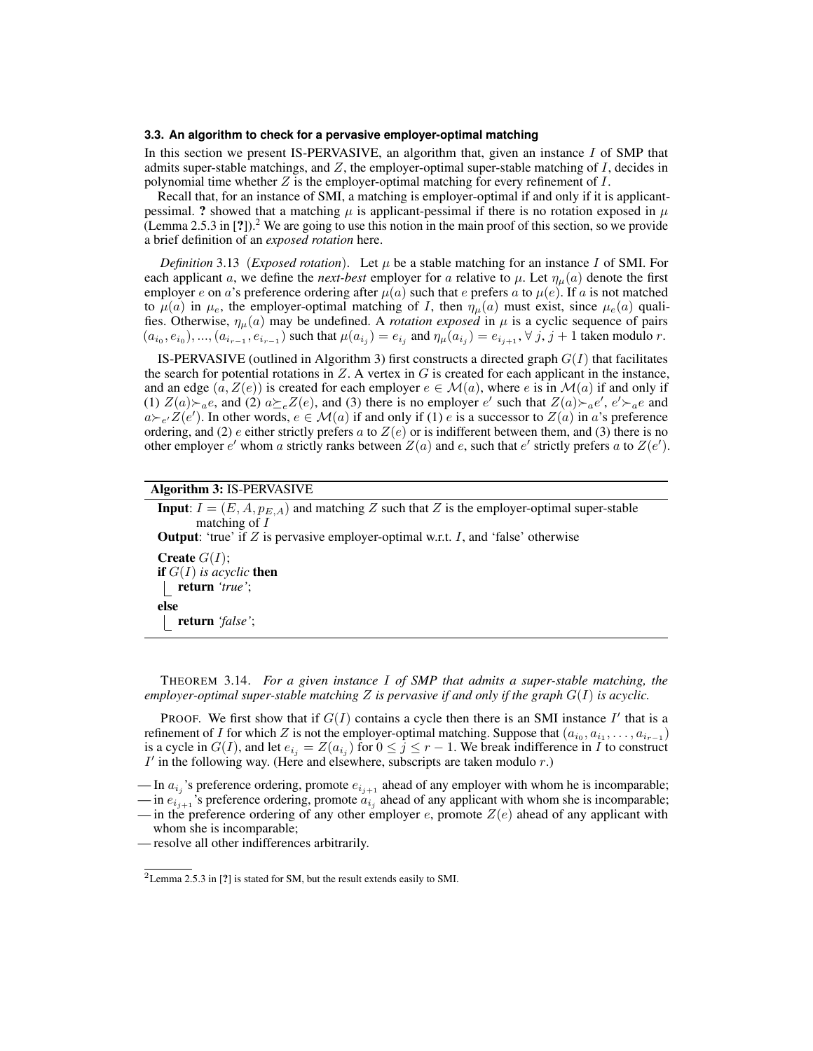#### **3.3. An algorithm to check for a pervasive employer-optimal matching**

In this section we present IS-PERVASIVE, an algorithm that, given an instance  $I$  of SMP that admits super-stable matchings, and  $Z$ , the employer-optimal super-stable matching of  $I$ , decides in polynomial time whether  $Z$  is the employer-optimal matching for every refinement of  $I$ .

Recall that, for an instance of SMI, a matching is employer-optimal if and only if it is applicantpessimal. ? showed that a matching  $\mu$  is applicant-pessimal if there is no rotation exposed in  $\mu$ (Lemma 2.5.3 in  $[?]$ ).<sup>2</sup> We are going to use this notion in the main proof of this section, so we provide a brief definition of an *exposed rotation* here.

*Definition* 3.13 (*Exposed rotation*). Let  $\mu$  be a stable matching for an instance I of SMI. For each applicant a, we define the *next-best* employer for a relative to  $\mu$ . Let  $\eta_{\mu}(a)$  denote the first employer e on a's preference ordering after  $\mu(a)$  such that e prefers a to  $\mu(e)$ . If a is not matched to  $\mu(a)$  in  $\mu_e$ , the employer-optimal matching of I, then  $\eta_\mu(a)$  must exist, since  $\mu_e(a)$  qualifies. Otherwise,  $\eta_{\mu}(a)$  may be undefined. A *rotation exposed* in  $\mu$  is a cyclic sequence of pairs  $(a_{i_0}, e_{i_0}), ..., (a_{i_{r-1}}, e_{i_{r-1}})$  such that  $\mu(a_{i_j}) = e_{i_j}$  and  $\eta_{\mu}(a_{i_j}) = e_{i_{j+1}}, \forall j, j+1$  taken modulo r.

IS-PERVASIVE (outlined in Algorithm 3) first constructs a directed graph  $G(I)$  that facilitates the search for potential rotations in  $Z$ . A vertex in  $G$  is created for each applicant in the instance, and an edge  $(a, Z(e))$  is created for each employer  $e \in M(a)$ , where e is in  $M(a)$  if and only if (1)  $Z(a) \succ_a e$ , and (2)  $a \succeq_e Z(e)$ , and (3) there is no employer e' such that  $Z(a) \succ_a e'$ ,  $e' \succ_a e$  and  $a \rightarrow e'Z(e')$ . In other words,  $e \in M(a)$  if and only if (1) e is a successor to  $Z(a)$  in a's preference ordering, and (2) e either strictly prefers a to  $Z(e)$  or is indifferent between them, and (3) there is no other employer e' whom a strictly ranks between  $Z(a)$  and e, such that e' strictly prefers a to  $Z(e')$ .

# Algorithm 3: IS-PERVASIVE

**Input:**  $I = (E, A, p_{E,A})$  and matching Z such that Z is the employer-optimal super-stable matching of I **Output:** 'true' if  $Z$  is pervasive employer-optimal w.r.t.  $I$ , and 'false' otherwise **Create**  $G(I)$ ; **if**  $G(I)$  *is acyclic* **then** return *'true'*; else return *'false'*;

THEOREM 3.14. *For a given instance* I *of SMP that admits a super-stable matching, the employer-optimal super-stable matching* Z *is pervasive if and only if the graph* G(I) *is acyclic.*

PROOF. We first show that if  $G(I)$  contains a cycle then there is an SMI instance  $I'$  that is a refinement of I for which Z is not the employer-optimal matching. Suppose that  $(a_{i_0}, a_{i_1}, \ldots, a_{i_{r-1}})$ is a cycle in  $G(I)$ , and let  $e_{i_j} = Z(a_{i_j})$  for  $0 \le j \le r - 1$ . We break indifference in I to construct  $I'$  in the following way. (Here and elsewhere, subscripts are taken modulo  $r$ .)

<sup>—</sup> In  $a_{i_j}$ 's preference ordering, promote  $e_{i_{j+1}}$  ahead of any employer with whom he is incomparable;

<sup>—</sup> in  $e_{i_{j+1}}$ 's preference ordering, promote  $a_{i_j}$  ahead of any applicant with whom she is incomparable;

<sup>—</sup> in the preference ordering of any other employer e, promote  $Z(e)$  ahead of any applicant with whom she is incomparable;

<sup>—</sup> resolve all other indifferences arbitrarily.

<sup>2</sup>Lemma 2.5.3 in [?] is stated for SM, but the result extends easily to SMI.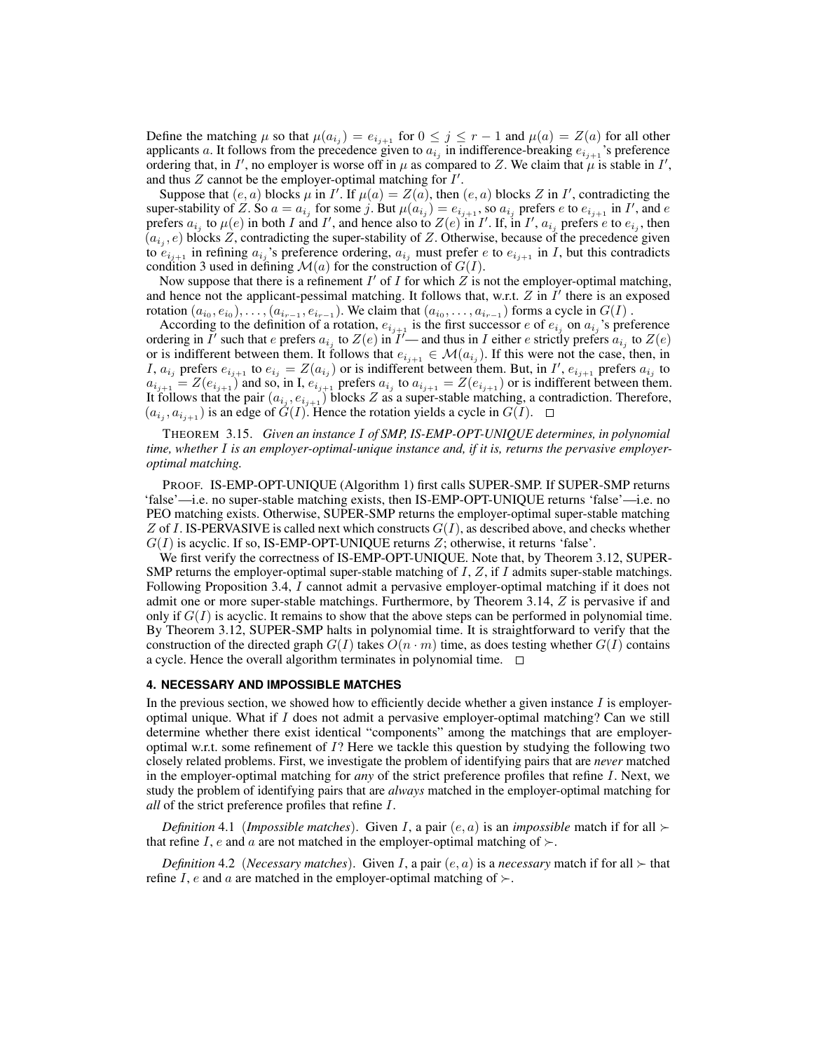Define the matching  $\mu$  so that  $\mu(a_{i_j}) = e_{i_{j+1}}$  for  $0 \le j \le r-1$  and  $\mu(a) = Z(a)$  for all other applicants a. It follows from the precedence given to  $a_{i_j}$  in indifference-breaking  $e_{i_{j+1}}$ 's preference ordering that, in I', no employer is worse off in  $\mu$  as compared to Z. We claim that  $\mu$  is stable in I', and thus  $Z$  cannot be the employer-optimal matching for  $I'$ .

Suppose that  $(e, a)$  blocks  $\mu$  in I'. If  $\mu(a) = Z(a)$ , then  $(e, a)$  blocks Z in I', contradicting the super-stability of Z. So  $a = a_{i_j}$  for some j. But  $\mu(a_{i_j}) = e_{i_{j+1}}$ , so  $a_{i_j}$  prefers e to  $e_{i_{j+1}}$  in I', and e prefers  $a_{i_j}$  to  $\mu(e)$  in both I and I', and hence also to  $Z(e)$  in I'. If, in I',  $a_{i_j}$  prefers e to  $e_{i_j}$ , then  $(a_{i_j}, e)$  blocks Z, contradicting the super-stability of Z. Otherwise, because of the precedence given to  $e_{i_{j+1}}$  in refining  $a_{i_j}$ 's preference ordering,  $a_{i_j}$  must prefer e to  $e_{i_{j+1}}$  in I, but this contradicts condition 3 used in defining  $\mathcal{M}(a)$  for the construction of  $G(I)$ .

Now suppose that there is a refinement  $I'$  of  $I$  for which  $\overline{Z}$  is not the employer-optimal matching, and hence not the applicant-pessimal matching. It follows that, w.r.t.  $Z$  in  $I'$  there is an exposed rotation  $(a_{i_0}, e_{i_0}), \ldots, (a_{i_{r-1}}, e_{i_{r-1}})$ . We claim that  $(a_{i_0}, \ldots, a_{i_{r-1}})$  forms a cycle in  $G(I)$  .

According to the definition of a rotation,  $e_{i_{j+1}}$  is the first successor e of  $e_{i_j}$  on  $a_{i_j}$ 's preference ordering in  $\vec{I}'$  such that e prefers  $a_{i_j}$  to  $Z(e)$  in  $\vec{I}'$  and thus in I either e strictly prefers  $a_{i_j}$  to  $Z(e)$ or is indifferent between them. It follows that  $e_{i_{j+1}} \in \mathcal{M}(a_{i_j})$ . If this were not the case, then, in I,  $a_{i_j}$  prefers  $e_{i_{j+1}}$  to  $e_{i_j} = Z(a_{i_j})$  or is indifferent between them. But, in I',  $e_{i_{j+1}}$  prefers  $a_{i_j}$  to  $a_{i_{j+1}} = Z(e_{i_{j+1}})$  and so, in I,  $e_{i_{j+1}}$  prefers  $a_{i_j}$  to  $a_{i_{j+1}} = Z(e_{i_{j+1}})$  or is indifferent between them. It follows that the pair  $(a_{i_j}, e_{i_{j+1}})$  blocks Z as a super-stable matching, a contradiction. Therefore,  $(a_{i_j}, a_{i_{j+1}})$  is an edge of  $G(I)$ . Hence the rotation yields a cycle in  $G(I)$ .

THEOREM 3.15. *Given an instance* I *of SMP, IS-EMP-OPT-UNIQUE determines, in polynomial time, whether* I *is an employer-optimal-unique instance and, if it is, returns the pervasive employeroptimal matching.*

PROOF. IS-EMP-OPT-UNIQUE (Algorithm 1) first calls SUPER-SMP. If SUPER-SMP returns 'false'—i.e. no super-stable matching exists, then IS-EMP-OPT-UNIQUE returns 'false'—i.e. no PEO matching exists. Otherwise, SUPER-SMP returns the employer-optimal super-stable matching Z of I. IS-PERVASIVE is called next which constructs  $G(I)$ , as described above, and checks whether  $G(I)$  is acyclic. If so, IS-EMP-OPT-UNIQUE returns  $Z$ ; otherwise, it returns 'false'.

We first verify the correctness of IS-EMP-OPT-UNIQUE. Note that, by Theorem 3.12, SUPER-SMP returns the employer-optimal super-stable matching of  $I, Z$ , if  $I$  admits super-stable matchings. Following Proposition 3.4, I cannot admit a pervasive employer-optimal matching if it does not admit one or more super-stable matchings. Furthermore, by Theorem 3.14,  $Z$  is pervasive if and only if  $G(I)$  is acyclic. It remains to show that the above steps can be performed in polynomial time. By Theorem 3.12, SUPER-SMP halts in polynomial time. It is straightforward to verify that the construction of the directed graph  $G(I)$  takes  $O(n \cdot m)$  time, as does testing whether  $G(I)$  contains a cycle. Hence the overall algorithm terminates in polynomial time.  $\Box$ 

### **4. NECESSARY AND IMPOSSIBLE MATCHES**

In the previous section, we showed how to efficiently decide whether a given instance  $I$  is employeroptimal unique. What if I does not admit a pervasive employer-optimal matching? Can we still determine whether there exist identical "components" among the matchings that are employeroptimal w.r.t. some refinement of I? Here we tackle this question by studying the following two closely related problems. First, we investigate the problem of identifying pairs that are *never* matched in the employer-optimal matching for *any* of the strict preference profiles that refine I. Next, we study the problem of identifying pairs that are *always* matched in the employer-optimal matching for *all* of the strict preference profiles that refine I.

*Definition* 4.1 (*Impossible matches*). Given *I*, a pair  $(e, a)$  is an *impossible* match if for all  $\succ$ that refine I, e and a are not matched in the employer-optimal matching of  $\succ$ .

*Definition* 4.2 (*Necessary matches*). Given *I*, a pair  $(e, a)$  is a *necessary* match if for all  $\succ$  that refine I, e and a are matched in the employer-optimal matching of  $\succ$ .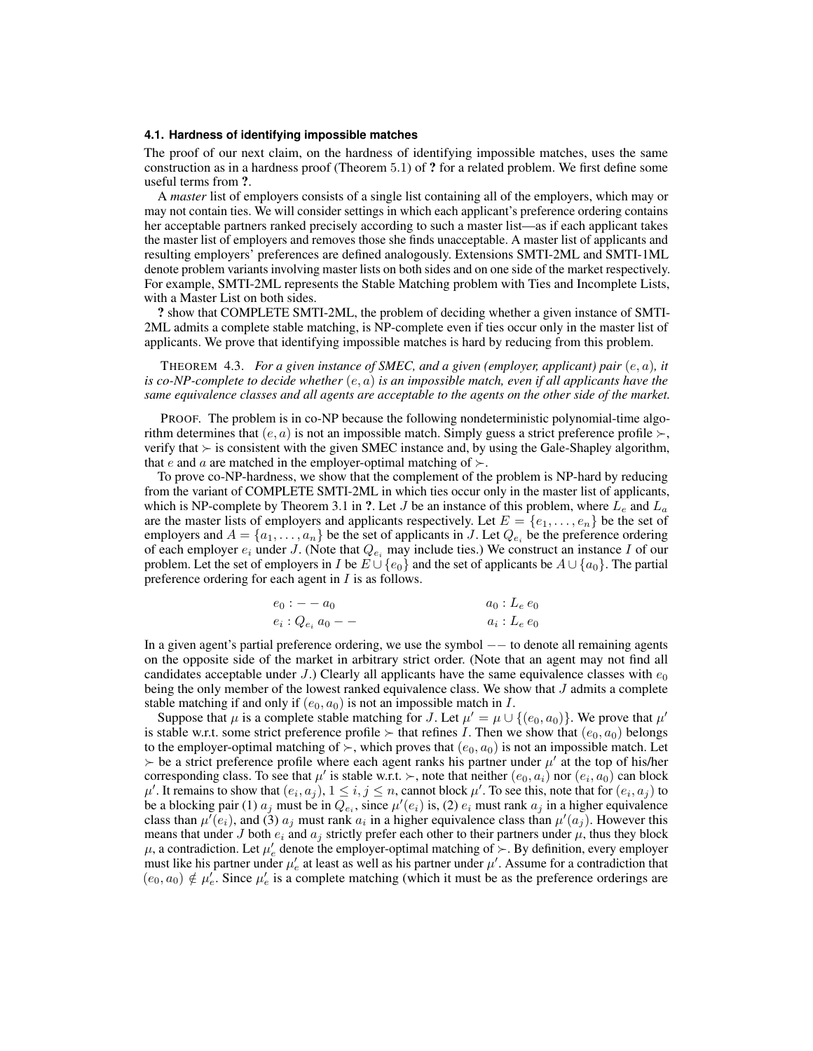#### **4.1. Hardness of identifying impossible matches**

The proof of our next claim, on the hardness of identifying impossible matches, uses the same construction as in a hardness proof (Theorem 5.1) of ? for a related problem. We first define some useful terms from ?.

A *master* list of employers consists of a single list containing all of the employers, which may or may not contain ties. We will consider settings in which each applicant's preference ordering contains her acceptable partners ranked precisely according to such a master list—as if each applicant takes the master list of employers and removes those she finds unacceptable. A master list of applicants and resulting employers' preferences are defined analogously. Extensions SMTI-2ML and SMTI-1ML denote problem variants involving master lists on both sides and on one side of the market respectively. For example, SMTI-2ML represents the Stable Matching problem with Ties and Incomplete Lists, with a Master List on both sides.

? show that COMPLETE SMTI-2ML, the problem of deciding whether a given instance of SMTI-2ML admits a complete stable matching, is NP-complete even if ties occur only in the master list of applicants. We prove that identifying impossible matches is hard by reducing from this problem.

THEOREM 4.3. *For a given instance of SMEC, and a given (employer, applicant) pair* (e, a)*, it is co-NP-complete to decide whether* (e, a) *is an impossible match, even if all applicants have the same equivalence classes and all agents are acceptable to the agents on the other side of the market.*

PROOF. The problem is in co-NP because the following nondeterministic polynomial-time algorithm determines that  $(e, a)$  is not an impossible match. Simply guess a strict preference profile  $\succ$ , verify that  $\succ$  is consistent with the given SMEC instance and, by using the Gale-Shapley algorithm, that e and a are matched in the employer-optimal matching of  $\succ$ .

To prove co-NP-hardness, we show that the complement of the problem is NP-hard by reducing from the variant of COMPLETE SMTI-2ML in which ties occur only in the master list of applicants, which is NP-complete by Theorem 3.1 in ?. Let J be an instance of this problem, where  $L_e$  and  $L_a$ are the master lists of employers and applicants respectively. Let  $E = \{e_1, \ldots, e_n\}$  be the set of employers and  $A = \{a_1, \ldots, a_n\}$  be the set of applicants in J. Let  $Q_{e_i}$  be the preference ordering of each employer  $e_i$  under J. (Note that  $Q_{e_i}$  may include ties.) We construct an instance I of our problem. Let the set of employers in I be  $E \cup \{e_0\}$  and the set of applicants be  $A \cup \{a_0\}$ . The partial preference ordering for each agent in I is as follows.

| $e_0: -a_0$            | $a_0: L_e e_0$ |
|------------------------|----------------|
| $e_i: Q_{e_i} a_0 - -$ | $a_i: L_e e_0$ |

In a given agent's partial preference ordering, we use the symbol −− to denote all remaining agents on the opposite side of the market in arbitrary strict order. (Note that an agent may not find all candidates acceptable under J.) Clearly all applicants have the same equivalence classes with  $e_0$ being the only member of the lowest ranked equivalence class. We show that J admits a complete stable matching if and only if  $(e_0, a_0)$  is not an impossible match in I.

Suppose that  $\mu$  is a complete stable matching for J. Let  $\mu' = \mu \cup \{(e_0, a_0)\}\)$ . We prove that  $\mu'$ is stable w.r.t. some strict preference profile  $\succ$  that refines I. Then we show that  $(e_0, a_0)$  belongs to the employer-optimal matching of  $\succ$ , which proves that  $(e_0, a_0)$  is not an impossible match. Let  $\rightarrow$  be a strict preference profile where each agent ranks his partner under  $\mu'$  at the top of his/her corresponding class. To see that  $\mu'$  is stable w.r.t.  $\succ$ , note that neither  $(e_0, a_i)$  nor  $(e_i, a_0)$  can block  $\mu'$ . It remains to show that  $(e_i, a_j)$ ,  $1 \le i, j \le n$ , cannot block  $\mu'$ . To see this, note that for  $(e_i, a_j)$  to be a blocking pair (1)  $a_j$  must be in  $Q_{e_i}$ , since  $\mu'(e_i)$  is, (2)  $e_i$  must rank  $a_j$  in a higher equivalence class than  $\mu'(e_i)$ , and (3)  $a_j$  must rank  $a_i$  in a higher equivalence class than  $\mu'(a_j)$ . However this means that under J both  $e_i$  and  $a_j$  strictly prefer each other to their partners under  $\mu$ , thus they block  $\mu$ , a contradiction. Let  $\mu'_e$  denote the employer-optimal matching of  $\succ$ . By definition, every employer must like his partner under  $\mu'_e$  at least as well as his partner under  $\mu'$ . Assume for a contradiction that  $(e_0, a_0) \notin \mu'_e$ . Since  $\mu'_e$  is a complete matching (which it must be as the preference orderings are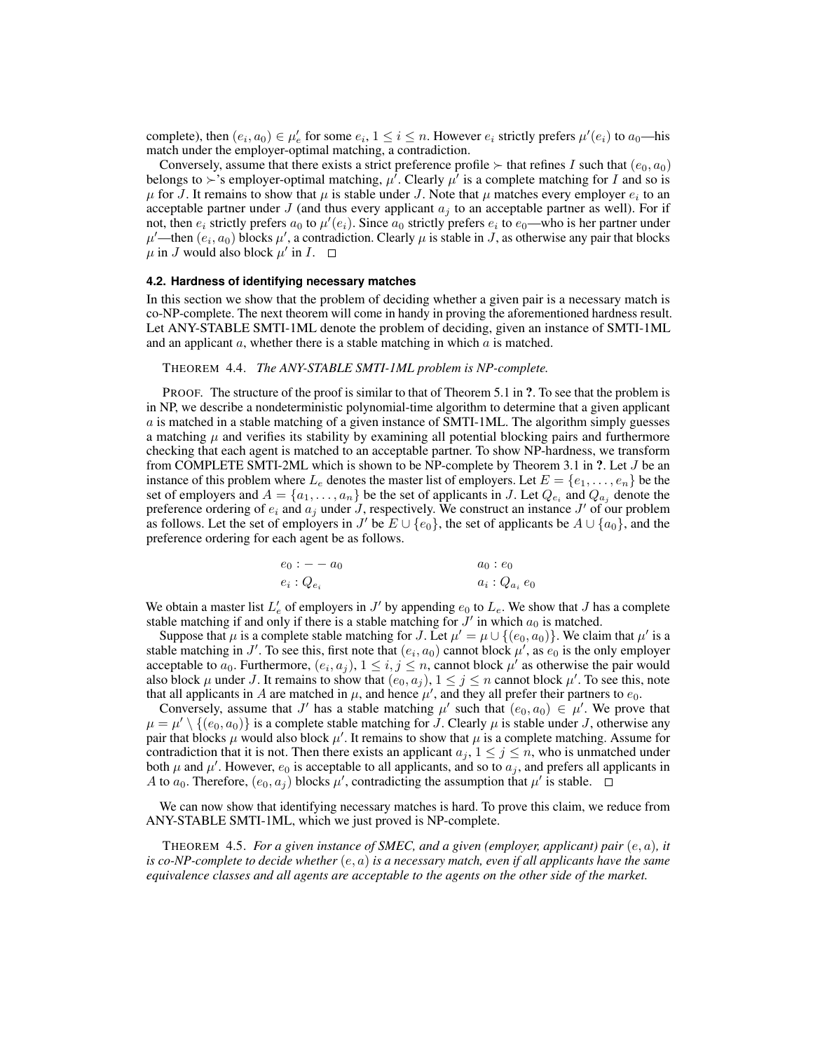complete), then  $(e_i, a_0) \in \mu'_e$  for some  $e_i$ ,  $1 \leq i \leq n$ . However  $e_i$  strictly prefers  $\mu'(e_i)$  to  $a_0$ —his match under the employer-optimal matching, a contradiction.

Conversely, assume that there exists a strict preference profile  $\succ$  that refines I such that  $(e_0, a_0)$ belongs to  $\succ$ 's employer-optimal matching,  $\mu^{\overline{l}}$ . Clearly  $\mu^{\overline{l}}$  is a complete matching for  $I$  and so is  $\mu$  for J. It remains to show that  $\mu$  is stable under J. Note that  $\mu$  matches every employer  $e_i$  to an acceptable partner under J (and thus every applicant  $a_i$  to an acceptable partner as well). For if not, then  $e_i$  strictly prefers  $a_0$  to  $\mu'(e_i)$ . Since  $a_0$  strictly prefers  $e_i$  to  $e_0$ —who is her partner under  $\mu'$ —then  $(e_i, a_0)$  blocks  $\mu'$ , a contradiction. Clearly  $\mu$  is stable in J, as otherwise any pair that blocks  $\mu$  in J would also block  $\mu'$  in I.

#### **4.2. Hardness of identifying necessary matches**

In this section we show that the problem of deciding whether a given pair is a necessary match is co-NP-complete. The next theorem will come in handy in proving the aforementioned hardness result. Let ANY-STABLE SMTI-1ML denote the problem of deciding, given an instance of SMTI-1ML and an applicant  $a$ , whether there is a stable matching in which  $a$  is matched.

THEOREM 4.4. *The ANY-STABLE SMTI-1ML problem is NP-complete.*

PROOF. The structure of the proof is similar to that of Theorem 5.1 in ?. To see that the problem is in NP, we describe a nondeterministic polynomial-time algorithm to determine that a given applicant  $\alpha$  is matched in a stable matching of a given instance of SMTI-1ML. The algorithm simply guesses a matching  $\mu$  and verifies its stability by examining all potential blocking pairs and furthermore checking that each agent is matched to an acceptable partner. To show NP-hardness, we transform from COMPLETE SMTI-2ML which is shown to be NP-complete by Theorem 3.1 in ?. Let J be an instance of this problem where  $L_e$  denotes the master list of employers. Let  $E = \{e_1, \ldots, e_n\}$  be the set of employers and  $A = \{a_1, \ldots, a_n\}$  be the set of applicants in J. Let  $Q_{e_i}$  and  $Q_{a_j}$  denote the preference ordering of  $e_i$  and  $a_j$  under J, respectively. We construct an instance J' of our problem as follows. Let the set of employers in J' be  $E \cup \{e_0\}$ , the set of applicants be  $A \cup \{a_0\}$ , and the preference ordering for each agent be as follows.

$$
e_0: -a_0
$$
  
\n
$$
e_i: Q_{e_i}
$$
  
\n
$$
a_0: e_0
$$
  
\n
$$
a_i: Q_{a_i}e_0
$$

We obtain a master list  $L'_e$  of employers in J' by appending  $e_0$  to  $L_e$ . We show that J has a complete stable matching if and only if there is a stable matching for  $J'$  in which  $a_0$  is matched.

Suppose that  $\mu$  is a complete stable matching for J. Let  $\mu' = \mu \cup \{(e_0, a_0)\}\.$  We claim that  $\mu'$  is a stable matching in J'. To see this, first note that  $(e_i, a_0)$  cannot block  $\mu'$ , as  $e_0$  is the only employer acceptable to  $a_0$ . Furthermore,  $(e_i, a_j)$ ,  $1 \leq i, j \leq n$ , cannot block  $\mu'$  as otherwise the pair would also block  $\mu$  under J. It remains to show that  $(e_0, a_j)$ ,  $1 \le j \le n$  cannot block  $\mu'$ . To see this, note that all applicants in A are matched in  $\mu$ , and hence  $\mu'$ , and they all prefer their partners to  $e_0$ .

Conversely, assume that J' has a stable matching  $\mu'$  such that  $(e_0, a_0) \in \mu'$ . We prove that  $\mu = \mu' \setminus \{(e_0, a_0)\}\$ is a complete stable matching for J. Clearly  $\mu$  is stable under J, otherwise any pair that blocks  $\mu$  would also block  $\mu'$ . It remains to show that  $\mu$  is a complete matching. Assume for contradiction that it is not. Then there exists an applicant  $a_j$ ,  $1 \leq j \leq n$ , who is unmatched under both  $\mu$  and  $\mu'$ . However,  $e_0$  is acceptable to all applicants, and so to  $a_j$ , and prefers all applicants in A to  $a_0$ . Therefore,  $(e_0, a_j)$  blocks  $\mu'$ , contradicting the assumption that  $\mu'$  is stable.

We can now show that identifying necessary matches is hard. To prove this claim, we reduce from ANY-STABLE SMTI-1ML, which we just proved is NP-complete.

THEOREM 4.5. *For a given instance of SMEC, and a given (employer, applicant) pair* (e, a)*, it is co-NP-complete to decide whether* (e, a) *is a necessary match, even if all applicants have the same equivalence classes and all agents are acceptable to the agents on the other side of the market.*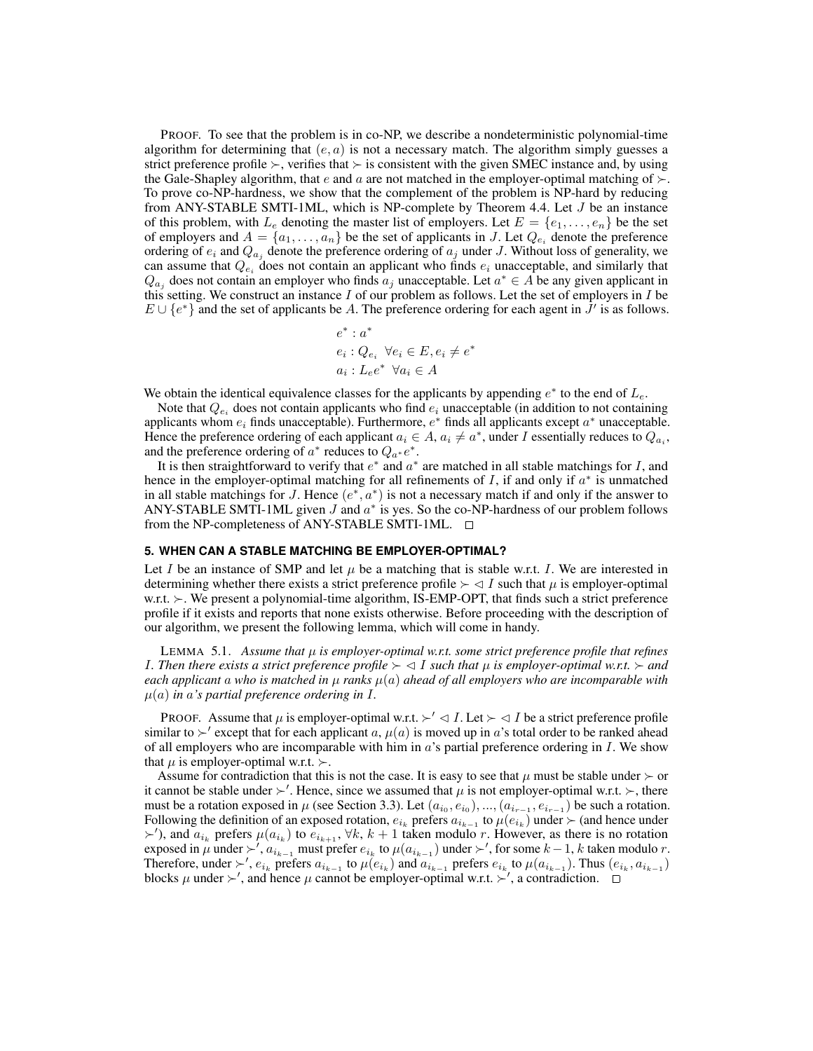PROOF. To see that the problem is in co-NP, we describe a nondeterministic polynomial-time algorithm for determining that  $(e, a)$  is not a necessary match. The algorithm simply guesses a strict preference profile  $\succ$ , verifies that  $\succ$  is consistent with the given SMEC instance and, by using the Gale-Shapley algorithm, that e and a are not matched in the employer-optimal matching of  $\succ$ . To prove co-NP-hardness, we show that the complement of the problem is NP-hard by reducing from ANY-STABLE SMTI-1ML, which is NP-complete by Theorem 4.4. Let J be an instance of this problem, with  $L_e$  denoting the master list of employers. Let  $E = \{e_1, \ldots, e_n\}$  be the set of employers and  $A = \{a_1, \ldots, a_n\}$  be the set of applicants in J. Let  $Q_{e_i}$  denote the preference ordering of  $e_i$  and  $Q_{a_j}$  denote the preference ordering of  $a_j$  under J. Without loss of generality, we can assume that  $Q_{e_i}$  does not contain an applicant who finds  $e_i$  unacceptable, and similarly that  $Q_{a_j}$  does not contain an employer who finds  $a_j$  unacceptable. Let  $a^* \in A$  be any given applicant in this setting. We construct an instance  $I$  of our problem as follows. Let the set of employers in  $I$  be  $E \cup \{e^*\}$  and the set of applicants be A. The preference ordering for each agent in  $\bar{J}'$  is as follows.

$$
e^* : a^*
$$
  

$$
e_i : Q_{e_i} \ \forall e_i \in E, e_i \neq e^*
$$
  

$$
a_i : L_e e^* \ \forall a_i \in A
$$

We obtain the identical equivalence classes for the applicants by appending  $e^*$  to the end of  $L_e$ .

Note that  $Q_{e_i}$  does not contain applicants who find  $e_i$  unacceptable (in addition to not containing applicants whom  $e_i$  finds unacceptable). Furthermore,  $e^*$  finds all applicants except  $a^*$  unacceptable. Hence the preference ordering of each applicant  $a_i \in A$ ,  $a_i \neq a^*$ , under I essentially reduces to  $Q_{a_i}$ , and the preference ordering of  $a^*$  reduces to  $Q_{a^*}e^*$ .

It is then straightforward to verify that  $e^*$  and  $a^*$  are matched in all stable matchings for  $I$ , and hence in the employer-optimal matching for all refinements of  $I$ , if and only if  $a^*$  is unmatched in all stable matchings for J. Hence  $(e^*, a^*)$  is not a necessary match if and only if the answer to ANY-STABLE SMTI-1ML given  $J$  and  $a^*$  is yes. So the co-NP-hardness of our problem follows from the NP-completeness of ANY-STABLE SMTI-1ML.  $\square$ 

### **5. WHEN CAN A STABLE MATCHING BE EMPLOYER-OPTIMAL?**

Let I be an instance of SMP and let  $\mu$  be a matching that is stable w.r.t. I. We are interested in determining whether there exists a strict preference profile  $\succ \lhd I$  such that  $\mu$  is employer-optimal w.r.t.  $\succ$ . We present a polynomial-time algorithm, IS-EMP-OPT, that finds such a strict preference profile if it exists and reports that none exists otherwise. Before proceeding with the description of our algorithm, we present the following lemma, which will come in handy.

LEMMA 5.1. *Assume that*  $\mu$  *is employer-optimal w.r.t. some strict preference profile that refines I*. Then there exists a strict preference profile  $\succ \lhd I$  such that  $\mu$  is employer-optimal w.r.t.  $\succ$  and *each applicant* a who is matched in  $\mu$  *ranks*  $\mu(a)$  *ahead of all employers who are incomparable with*  $\mu(a)$  *in* a's partial preference ordering in I.

**PROOF.** Assume that  $\mu$  is employer-optimal w.r.t.  $\succ' \lhd I$ . Let  $\succ \lhd I$  be a strict preference profile similar to  $\succ'$  except that for each applicant a,  $\mu(a)$  is moved up in a's total order to be ranked ahead of all employers who are incomparable with him in  $a$ 's partial preference ordering in  $I$ . We show that  $\mu$  is employer-optimal w.r.t.  $\succ$ .

Assume for contradiction that this is not the case. It is easy to see that  $\mu$  must be stable under  $\succ$  or it cannot be stable under  $\succ'$ . Hence, since we assumed that  $\mu$  is not employer-optimal w.r.t.  $\succ$ , there must be a rotation exposed in  $\mu$  (see Section 3.3). Let  $(a_{i_0}, e_{i_0}), ..., (a_{i_{r-1}}, e_{i_{r-1}})$  be such a rotation. Following the definition of an exposed rotation,  $e_{i_k}$  prefers  $a_{i_{k-1}}$  to  $\mu(e_{i_k})$  under  $\succ$  (and hence under  $\succ'$ ), and  $a_{i_k}$  prefers  $\mu(a_{i_k})$  to  $e_{i_{k+1}}$ ,  $\forall k, k+1$  taken modulo r. However, as there is no rotation exposed in  $\mu$  under  $\succ'$ ,  $a_{i_{k-1}}$  must prefer  $e_{i_k}$  to  $\mu(a_{i_{k-1}})$  under  $\succ'$ , for some  $k-1$ , k taken modulo r. Therefore, under  $\succ'$ ,  $e_{i_k}$  prefers  $a_{i_{k-1}}$  to  $\mu(e_{i_k})$  and  $a_{i_{k-1}}$  prefers  $e_{i_k}$  to  $\mu(a_{i_{k-1}})$ . Thus  $(e_{i_k}, a_{i_{k-1}})$ blocks  $\mu$  under  $\succ'$ , and hence  $\mu$  cannot be employer-optimal w.r.t.  $\succ'$ , a contradiction.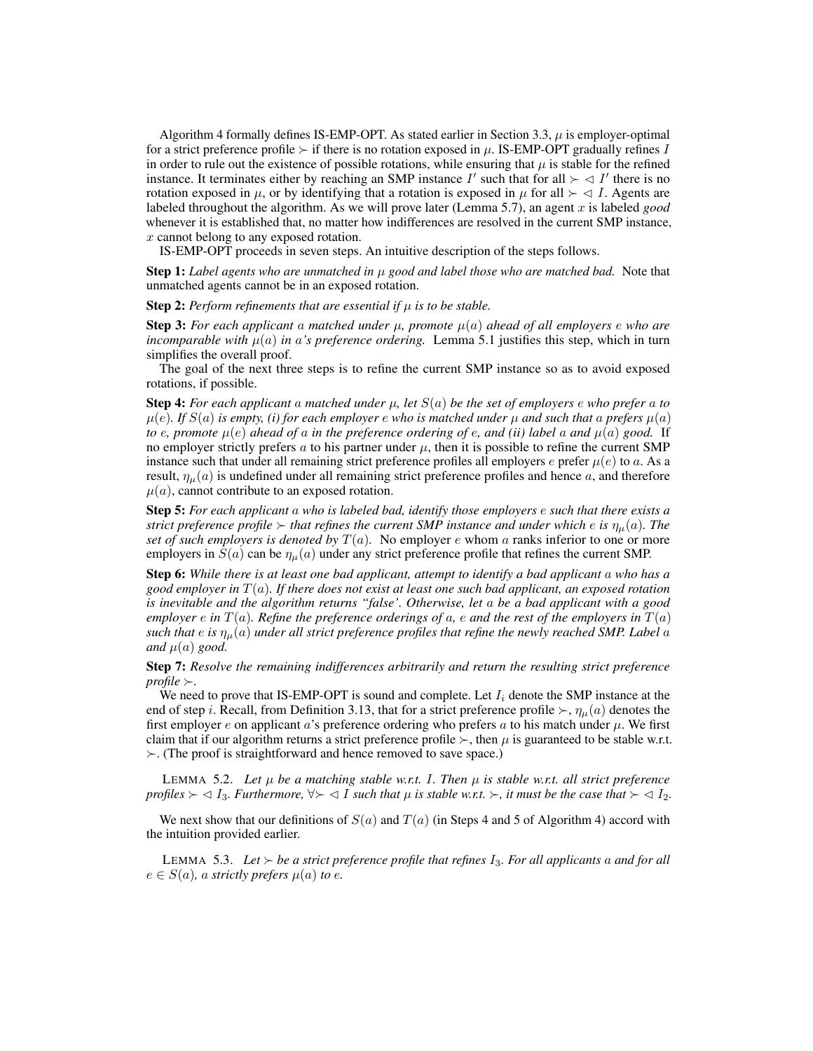Algorithm 4 formally defines IS-EMP-OPT. As stated earlier in Section 3.3,  $\mu$  is employer-optimal for a strict preference profile  $\succ$  if there is no rotation exposed in  $\mu$ . IS-EMP-OPT gradually refines I in order to rule out the existence of possible rotations, while ensuring that  $\mu$  is stable for the refined instance. It terminates either by reaching an SMP instance  $I'$  such that for all  $\succ \lhd I'$  there is no rotation exposed in  $\mu$ , or by identifying that a rotation is exposed in  $\mu$  for all  $\succ \lhd I$ . Agents are labeled throughout the algorithm. As we will prove later (Lemma 5.7), an agent  $x$  is labeled *good* whenever it is established that, no matter how indifferences are resolved in the current SMP instance, x cannot belong to any exposed rotation.

IS-EMP-OPT proceeds in seven steps. An intuitive description of the steps follows.

Step 1: *Label agents who are unmatched in* µ *good and label those who are matched bad.* Note that unmatched agents cannot be in an exposed rotation.

**Step 2:** *Perform refinements that are essential if*  $\mu$  *is to be stable.* 

Step 3: *For each applicant* a *matched under* µ*, promote* µ(a) *ahead of all employers* e *who are incomparable with*  $\mu(a)$  *in* a's preference ordering. Lemma 5.1 justifies this step, which in turn simplifies the overall proof.

The goal of the next three steps is to refine the current SMP instance so as to avoid exposed rotations, if possible.

**Step 4:** *For each applicant* a *matched under*  $\mu$ *, let*  $S(a)$  *be the set of employers e who prefer* a *to*  $\mu(e)$ *. If*  $S(a)$  *is empty, (i) for each employer* e *who is matched under*  $\mu$  *and such that* a *prefers*  $\mu(a)$ *to* e, promote  $\mu(e)$  ahead of a in the preference ordering of e, and (ii) label a and  $\mu(a)$  good. If no employer strictly prefers a to his partner under  $\mu$ , then it is possible to refine the current SMP instance such that under all remaining strict preference profiles all employers e prefer  $\mu(e)$  to a. As a result,  $\eta_{\mu}(a)$  is undefined under all remaining strict preference profiles and hence a, and therefore  $\mu(a)$ , cannot contribute to an exposed rotation.

Step 5: *For each applicant* a *who is labeled bad, identify those employers* e *such that there exists a strict preference profile*  $\succ$  *that refines the current SMP instance and under which e is*  $\eta_{\mu}(a)$ *. The set of such employers is denoted by*  $T(a)$ . No employer e whom a ranks inferior to one or more employers in  $S(a)$  can be  $\eta_{\mu}(a)$  under any strict preference profile that refines the current SMP.

Step 6: *While there is at least one bad applicant, attempt to identify a bad applicant* a *who has a good employer in* T(a)*. If there does not exist at least one such bad applicant, an exposed rotation is inevitable and the algorithm returns "false'. Otherwise, let* a *be a bad applicant with a good employer*  $e$  *in*  $T(a)$ *. Refine the preference orderings of*  $a$ *,*  $e$  *and the rest of the employers in*  $T(a)$ *such that*  $e$  *is*  $\eta_{\mu}(a)$  *under all strict preference profiles that refine the newly reached SMP. Label*  $a$ *and*  $\mu(a)$  *good.* 

Step 7: *Resolve the remaining indifferences arbitrarily and return the resulting strict preference profile*  $\succ$ .

We need to prove that IS-EMP-OPT is sound and complete. Let  $I_i$  denote the SMP instance at the end of step i. Recall, from Definition 3.13, that for a strict preference profile  $\succ$ ,  $\eta_{\mu}(a)$  denotes the first employer e on applicant a's preference ordering who prefers a to his match under  $\mu$ . We first claim that if our algorithm returns a strict preference profile  $\succ$ , then  $\mu$  is guaranteed to be stable w.r.t.  $\succ$ . (The proof is straightforward and hence removed to save space.)

LEMMA 5.2. Let  $\mu$  be a matching stable w.r.t. I. Then  $\mu$  is stable w.r.t. all strict preference *profiles*  $\succ \lhd I_3$ *. Furthermore,*  $\forall \succ \lhd I$  *such that*  $\mu$  *is stable w.r.t.*  $\succ$ *, it must be the case that*  $\succ \lhd I_2$ *.* 

We next show that our definitions of  $S(a)$  and  $T(a)$  (in Steps 4 and 5 of Algorithm 4) accord with the intuition provided earlier.

LEMMA 5.3. Let  $\succ$  be a strict preference profile that refines  $I_3$ . For all applicants a and for all  $e \in S(a)$ *, a strictly prefers*  $\mu(a)$  *to e.*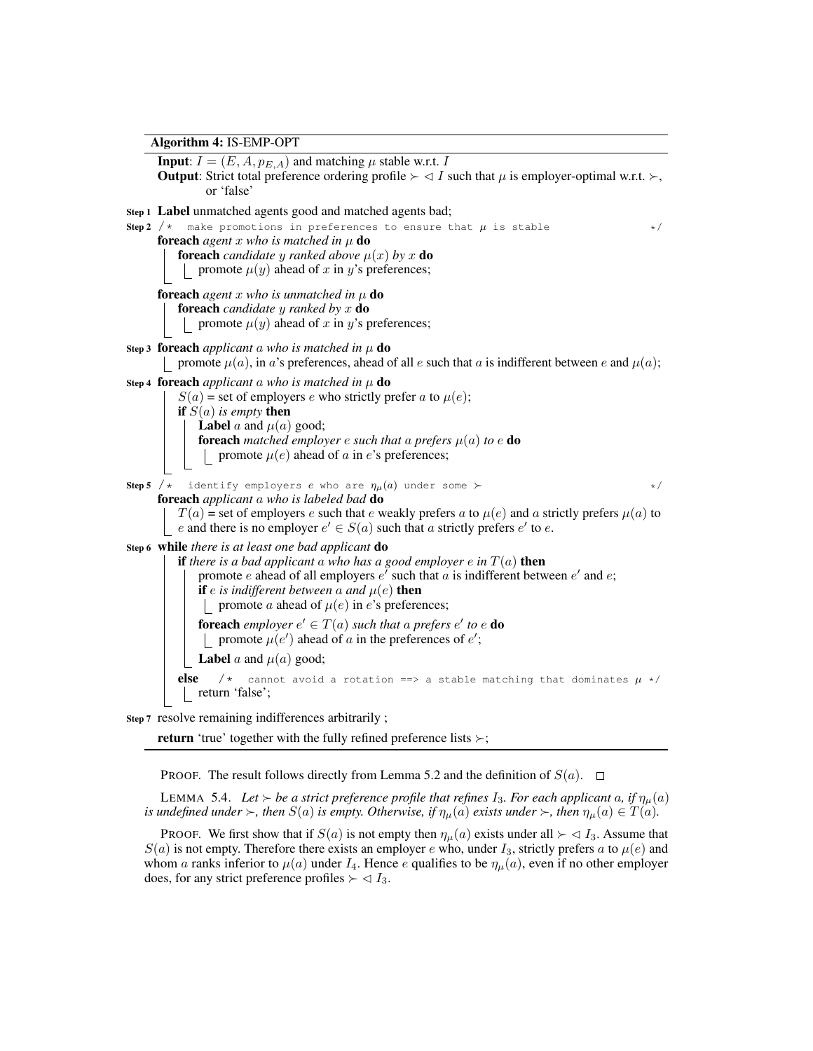Algorithm 4: IS-EMP-OPT **Input:**  $I = (E, A, p_{E,A})$  and matching  $\mu$  stable w.r.t. I **Output:** Strict total preference ordering profile  $\succ \lhd I$  such that  $\mu$  is employer-optimal w.r.t.  $\succ$ , or 'false' Step 1 Label unmatched agents good and matched agents bad; **Step 2** /\* make promotions in preferences to ensure that  $\mu$  is stable \*/\* **foreach** *agent* x *who* is matched in  $\mu$  **do foreach** *candidate* y *ranked above*  $\mu(x)$  *by* x **do** | promote  $\mu(y)$  ahead of x in y's preferences; **foreach** *agent* x *who* is unmatched in  $\mu$  **do** foreach *candidate* y *ranked by* x do | promote  $\mu(y)$  ahead of x in y's preferences; Step 3 foreach *applicant* a who is matched in  $\mu$  do promote  $\mu(a)$ , in a's preferences, ahead of all e such that a is indifferent between e and  $\mu(a)$ ; Step 4 **foreach** *applicant* a who is matched in  $\mu$  **do**  $S(a)$  = set of employers e who strictly prefer a to  $\mu(e)$ ; if S(a) *is empty* then **Label** a and  $\mu(a)$  good; **foreach** matched employer e such that a prefers  $\mu(a)$  to e **do** | promote  $\mu(e)$  ahead of a in e's preferences; **Step 5** /\* identify employers e who are  $\eta_{\mu}(a)$  under some  $\succ$  \*/\* foreach *applicant* a *who is labeled bad* do  $T(a)$  = set of employers e such that e weakly prefers a to  $\mu(e)$  and a strictly prefers  $\mu(a)$  to e and there is no employer  $e' \in S(a)$  such that a strictly prefers  $e'$  to  $e$ . Step 6 while *there is at least one bad applicant* do if *there is a bad applicant* a *who has a good employer*  $e$  *in*  $T(a)$  **then** promote e ahead of all employers  $e^i$  such that a is indifferent between  $e^i$  and  $e$ ; **if** e is indifferent between a and  $\mu(e)$  **then** | promote *a* ahead of  $\mu(e)$  in *e*'s preferences; **foreach** employer  $e' \in T(a)$  such that a prefers  $e'$  to  $e$  **do** promote  $\mu(e')$  ahead of a in the preferences of  $e'$ ; **Label** a and  $\mu(a)$  good; **else** /\* cannot avoid a rotation ==> a stable matching that dominates  $\mu$  \*/ return 'false'; Step 7 resolve remaining indifferences arbitrarily ; **return** 'true' together with the fully refined preference lists  $\succ$ ;

**PROOF.** The result follows directly from Lemma 5.2 and the definition of  $S(a)$ .  $\Box$ 

LEMMA 5.4. Let  $\succ$  be a strict preference profile that refines  $I_3$ . For each applicant a, if  $\eta_u(a)$ *is undefined under*  $\succ$ , *then*  $S(a)$  *is empty. Otherwise, if*  $\eta_{\mu}(a)$  *exists under*  $\succ$ , *then*  $\eta_{\mu}(a) \in T(a)$ *.* 

PROOF. We first show that if  $S(a)$  is not empty then  $\eta_{\mu}(a)$  exists under all  $\succ \lhd I_3$ . Assume that  $S(a)$  is not empty. Therefore there exists an employer e who, under  $I_3$ , strictly prefers a to  $\mu(e)$  and whom a ranks inferior to  $\mu(a)$  under  $I_4$ . Hence e qualifies to be  $\eta_{\mu}(a)$ , even if no other employer does, for any strict preference profiles  $\succ \lhd I_3$ .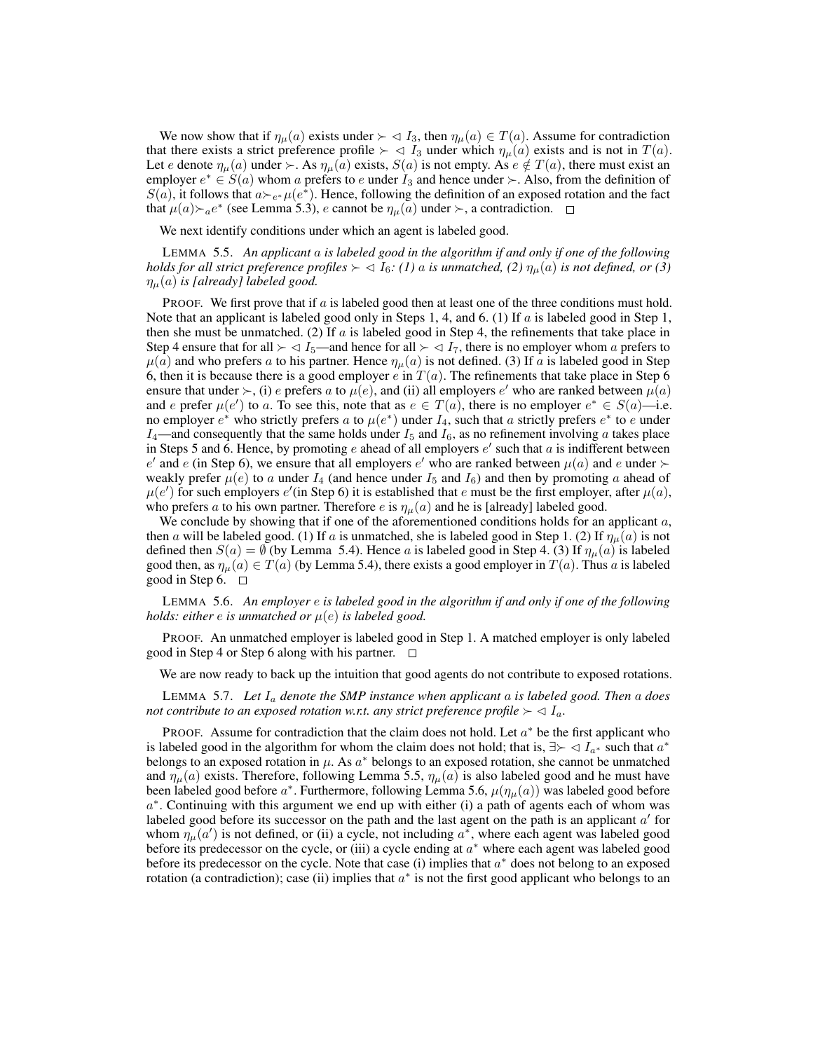We now show that if  $\eta_{\mu}(a)$  exists under  $\succ \lhd I_3$ , then  $\eta_{\mu}(a) \in T(a)$ . Assume for contradiction that there exists a strict preference profile  $\succ \prec I_3$  under which  $\eta_{\mu}(a)$  exists and is not in  $T(a)$ . Let e denote  $\eta_{\mu}(a)$  under  $\succ$ . As  $\eta_{\mu}(a)$  exists,  $S(a)$  is not empty. As  $e \notin T(a)$ , there must exist an employer  $e^* \in S(a)$  whom a prefers to e under  $I_3$  and hence under  $\succ$ . Also, from the definition of  $S(a)$ , it follows that  $a \rightarrow e^* \mu(e^*)$ . Hence, following the definition of an exposed rotation and the fact that  $\mu(a) \succ_a e^*$  (see Lemma 5.3), e cannot be  $\eta_\mu(a)$  under  $\succ$ , a contradiction.

We next identify conditions under which an agent is labeled good.

LEMMA 5.5. *An applicant* a *is labeled good in the algorithm if and only if one of the following holds for all strict preference profiles*  $\succ \lhd I_6$ : (1) a *is unmatched,* (2)  $\eta_\mu(a)$  *is not defined, or* (3)  $\eta_{\mu}(a)$  *is [already] labeled good.* 

PROOF. We first prove that if  $a$  is labeled good then at least one of the three conditions must hold. Note that an applicant is labeled good only in Steps 1, 4, and 6. (1) If  $\alpha$  is labeled good in Step 1, then she must be unmatched. (2) If  $a$  is labeled good in Step 4, the refinements that take place in Step 4 ensure that for all  $\geq \langle I_5 \rangle$  and hence for all  $\succ \langle I_7 \rangle$ , there is no employer whom a prefers to  $\mu(a)$  and who prefers a to his partner. Hence  $\eta_{\mu}(a)$  is not defined. (3) If a is labeled good in Step 6, then it is because there is a good employer e in  $T(a)$ . The refinements that take place in Step 6 ensure that under  $\succ$ , (i) e prefers a to  $\mu(e)$ , and (ii) all employers e' who are ranked between  $\mu(a)$ and e prefer  $\mu(e')$  to a. To see this, note that as  $e \in T(a)$ , there is no employer  $e^* \in S(a)$ —i.e. no employer  $e^*$  who strictly prefers a to  $\mu(e^*)$  under  $I_4$ , such that a strictly prefers  $e^*$  to e under  $I_4$ —and consequently that the same holds under  $I_5$  and  $I_6$ , as no refinement involving a takes place in Steps 5 and 6. Hence, by promoting e ahead of all employers  $e'$  such that a is indifferent between e' and e (in Step 6), we ensure that all employers e' who are ranked between  $\mu(a)$  and e under  $\succ$ weakly prefer  $\mu(e)$  to a under  $I_4$  (and hence under  $I_5$  and  $I_6$ ) and then by promoting a ahead of  $\mu(e')$  for such employers  $e'$  (in Step 6) it is established that e must be the first employer, after  $\mu(a)$ , who prefers a to his own partner. Therefore e is  $\eta_{\mu}(a)$  and he is [already] labeled good.

We conclude by showing that if one of the aforementioned conditions holds for an applicant  $a$ , then a will be labeled good. (1) If a is unmatched, she is labeled good in Step 1. (2) If  $\eta_u(a)$  is not defined then  $S(a) = \emptyset$  (by Lemma 5.4). Hence a is labeled good in Step 4. (3) If  $\eta_{\mu}(a)$  is labeled good then, as  $\eta_{\mu}(a) \in T(a)$  (by Lemma 5.4), there exists a good employer in  $T(a)$ . Thus a is labeled good in Step 6.  $\Box$ 

LEMMA 5.6. *An employer* e *is labeled good in the algorithm if and only if one of the following holds: either* e *is unmatched or* µ(e) *is labeled good.*

PROOF. An unmatched employer is labeled good in Step 1. A matched employer is only labeled good in Step 4 or Step 6 along with his partner.  $\Box$ 

We are now ready to back up the intuition that good agents do not contribute to exposed rotations.

LEMMA 5.7. *Let* I<sup>a</sup> *denote the SMP instance when applicant* a *is labeled good. Then* a *does not contribute to an exposed rotation w.r.t. any strict preference profile*  $\succ \langle I_a$ .

PROOF. Assume for contradiction that the claim does not hold. Let  $a^*$  be the first applicant who is labeled good in the algorithm for whom the claim does not hold; that is,  $\exists \succ \langle I_{a^*} \rangle$  such that  $a^*$ belongs to an exposed rotation in  $\mu$ . As  $a^*$  belongs to an exposed rotation, she cannot be unmatched and  $\eta_{\mu}(a)$  exists. Therefore, following Lemma 5.5,  $\eta_{\mu}(a)$  is also labeled good and he must have been labeled good before  $a^*$ . Furthermore, following Lemma 5.6,  $\mu(\eta_\mu(a))$  was labeled good before  $a^*$ . Continuing with this argument we end up with either (i) a path of agents each of whom was labeled good before its successor on the path and the last agent on the path is an applicant  $a'$  for whom  $\eta_{\mu}(a')$  is not defined, or (ii) a cycle, not including  $a^*$ , where each agent was labeled good before its predecessor on the cycle, or (iii) a cycle ending at  $a^*$  where each agent was labeled good before its predecessor on the cycle. Note that case (i) implies that  $a^*$  does not belong to an exposed rotation (a contradiction); case (ii) implies that  $a^*$  is not the first good applicant who belongs to an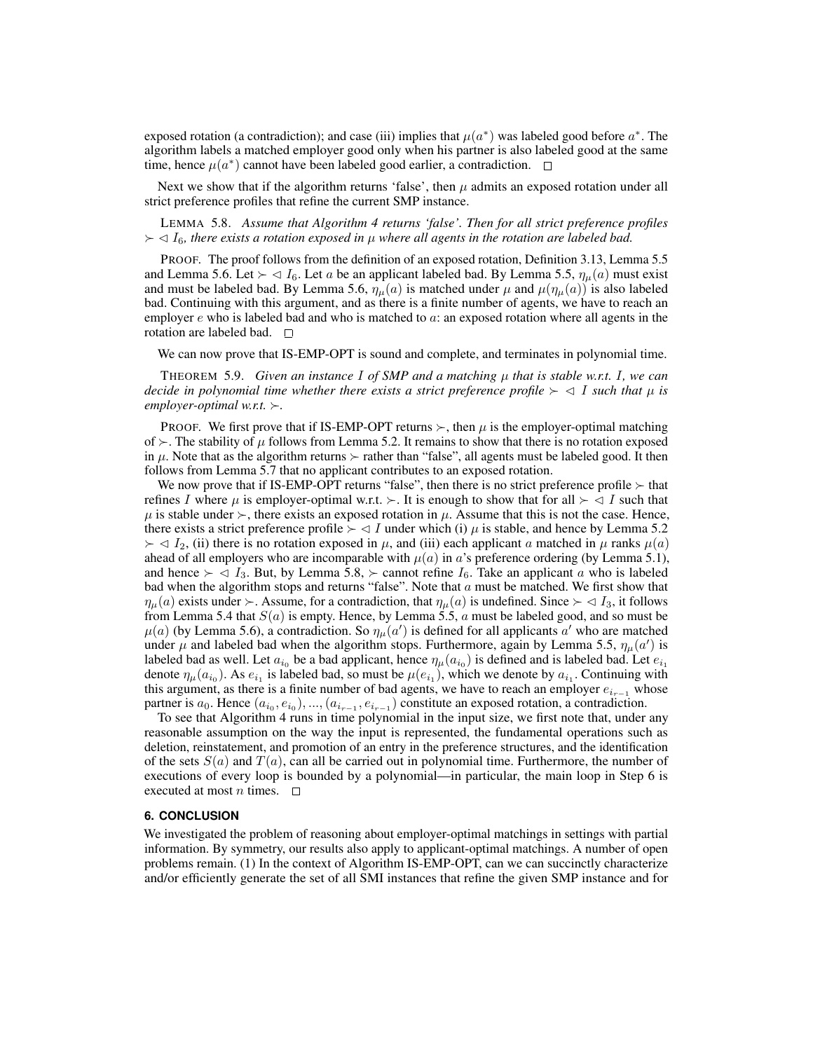exposed rotation (a contradiction); and case (iii) implies that  $\mu(a^*)$  was labeled good before  $a^*$ . The algorithm labels a matched employer good only when his partner is also labeled good at the same time, hence  $\mu(a^*)$  cannot have been labeled good earlier, a contradiction.

Next we show that if the algorithm returns 'false', then  $\mu$  admits an exposed rotation under all strict preference profiles that refine the current SMP instance.

LEMMA 5.8. *Assume that Algorithm 4 returns 'false'. Then for all strict preference profiles*  $\geq$   $\lhd$  I<sub>6</sub>, there exists a rotation exposed in  $\mu$  where all agents in the rotation are labeled bad.

PROOF. The proof follows from the definition of an exposed rotation, Definition 3.13, Lemma 5.5 and Lemma 5.6. Let  $\succ \lhd I_6$ . Let a be an applicant labeled bad. By Lemma 5.5,  $\eta_\mu(a)$  must exist and must be labeled bad. By Lemma 5.6,  $\eta_{\mu}(a)$  is matched under  $\mu$  and  $\mu(\eta_{\mu}(a))$  is also labeled bad. Continuing with this argument, and as there is a finite number of agents, we have to reach an employer  $e$  who is labeled bad and who is matched to  $a$ : an exposed rotation where all agents in the rotation are labeled bad.  $\square$ 

We can now prove that IS-EMP-OPT is sound and complete, and terminates in polynomial time.

THEOREM 5.9. *Given an instance* I *of SMP and a matching* µ *that is stable w.r.t.* I*, we can decide in polynomial time whether there exists a strict preference profile*  $\succ \lhd I$  *such that*  $\mu$  *is employer-optimal w.r.t.*  $\succ$ .

**PROOF.** We first prove that if IS-EMP-OPT returns  $\succ$ , then  $\mu$  is the employer-optimal matching of  $\succ$ . The stability of  $\mu$  follows from Lemma 5.2. It remains to show that there is no rotation exposed in  $\mu$ . Note that as the algorithm returns  $\succ$  rather than "false", all agents must be labeled good. It then follows from Lemma 5.7 that no applicant contributes to an exposed rotation.

We now prove that if IS-EMP-OPT returns "false", then there is no strict preference profile  $\succ$  that refines I where  $\mu$  is employer-optimal w.r.t.  $\succ$ . It is enough to show that for all  $\succ \lhd I$  such that  $\mu$  is stable under  $\succ$ , there exists an exposed rotation in  $\mu$ . Assume that this is not the case. Hence, there exists a strict preference profile  $\succ \lhd I$  under which (i)  $\mu$  is stable, and hence by Lemma 5.2  $\succ \lhd I_2$ , (ii) there is no rotation exposed in  $\mu$ , and (iii) each applicant a matched in  $\mu$  ranks  $\mu(a)$ ahead of all employers who are incomparable with  $\mu(a)$  in a's preference ordering (by Lemma 5.1), and hence  $\succ \langle I_3$ . But, by Lemma 5.8,  $\succ$  cannot refine  $I_6$ . Take an applicant a who is labeled bad when the algorithm stops and returns "false". Note that  $a$  must be matched. We first show that  $\eta_\mu(a)$  exists under  $\succ$ . Assume, for a contradiction, that  $\eta_\mu(a)$  is undefined. Since  $\succ \lhd I_3$ , it follows from Lemma 5.4 that  $S(a)$  is empty. Hence, by Lemma 5.5, a must be labeled good, and so must be  $\mu(a)$  (by Lemma 5.6), a contradiction. So  $\eta_{\mu}(a')$  is defined for all applicants a' who are matched under  $\mu$  and labeled bad when the algorithm stops. Furthermore, again by Lemma 5.5,  $\eta_{\mu}(a')$  is labeled bad as well. Let  $a_{i_0}$  be a bad applicant, hence  $\eta_\mu(a_{i_0})$  is defined and is labeled bad. Let  $e_{i_1}$ denote  $\eta_\mu(a_{i_0})$ . As  $e_{i_1}$  is labeled bad, so must be  $\mu(e_{i_1})$ , which we denote by  $a_{i_1}$ . Continuing with this argument, as there is a finite number of bad agents, we have to reach an employer  $e_{i-1}$  whose partner is  $a_0$ . Hence  $(a_{i_0}, e_{i_0}), ..., (a_{i_{r-1}}, e_{i_{r-1}})$  constitute an exposed rotation, a contradiction.

To see that Algorithm 4 runs in time polynomial in the input size, we first note that, under any reasonable assumption on the way the input is represented, the fundamental operations such as deletion, reinstatement, and promotion of an entry in the preference structures, and the identification of the sets  $S(a)$  and  $T(a)$ , can all be carried out in polynomial time. Furthermore, the number of executions of every loop is bounded by a polynomial—in particular, the main loop in Step 6 is executed at most *n* times.  $\Box$ 

# **6. CONCLUSION**

We investigated the problem of reasoning about employer-optimal matchings in settings with partial information. By symmetry, our results also apply to applicant-optimal matchings. A number of open problems remain. (1) In the context of Algorithm IS-EMP-OPT, can we can succinctly characterize and/or efficiently generate the set of all SMI instances that refine the given SMP instance and for